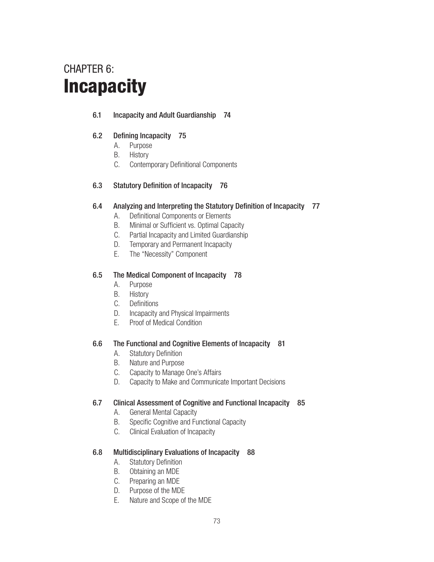# CHAPTER 6: **Incapacity**

# 6.1 Incapacity and Adult Guardianship 74

# 6.2 Defining Incapacity 75

- A. Purpose
- B. History
- C. Contemporary Definitional Components
- 6.3 Statutory Definition of Incapacity 76

# 6.4 Analyzing and Interpreting the Statutory Definition of Incapacity 77

- A. Definitional Components or Elements
- B. Minimal or Sufficient vs. Optimal Capacity
- C. Partial Incapacity and Limited Guardianship
- D. Temporary and Permanent Incapacity
- E. The "Necessity" Component

# 6.5 The Medical Component of Incapacity 78

- A. Purpose
- B. History
- C. Definitions
- D. Incapacity and Physical Impairments
- E. Proof of Medical Condition

# 6.6 The Functional and Cognitive Elements of Incapacity 81

- A. Statutory Definition
- B. Nature and Purpose
- C. Capacity to Manage One's Affairs
- D. Capacity to Make and Communicate Important Decisions

# 6.7 Clinical Assessment of Cognitive and Functional Incapacity 85

- A. General Mental Capacity
- B. Specific Cognitive and Functional Capacity
- C. Clinical Evaluation of Incapacity

# 6.8 Multidisciplinary Evaluations of Incapacity 88

- A. Statutory Definition
- B. Obtaining an MDE
- C. Preparing an MDE
- D. Purpose of the MDE
- E. Nature and Scope of the MDE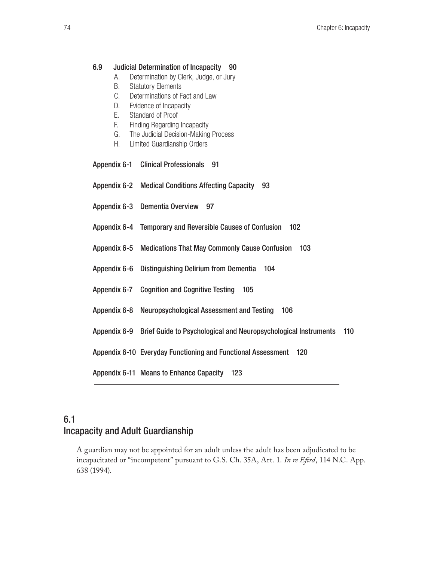### 6.9 Judicial Determination of Incapacity 90

- A. Determination by Clerk, Judge, or Jury
- B. Statutory Elements
- C. Determinations of Fact and Law
- D. Evidence of Incapacity
- E. Standard of Proof
- F. Finding Regarding Incapacity
- G. The Judicial Decision-Making Process
- H. Limited Guardianship Orders
- Appendix 6-1 Clinical Professionals 91
- Appendix 6-2 Medical Conditions Affecting Capacity 93
- Appendix 6-3 Dementia Overview 97
- Appendix 6-4 Temporary and Reversible Causes of Confusion 102
- Appendix 6-5 Medications That May Commonly Cause Confusion 103
- Appendix 6-6 Distinguishing Delirium from Dementia 104
- Appendix 6-7 Cognition and Cognitive Testing 105
- Appendix 6-8 Neuropsychological Assessment and Testing 106
- Appendix 6-9 Brief Guide to Psychological and Neuropsychological Instruments 110
- Appendix 6-10 Everyday Functioning and Functional Assessment 120

Appendix 6-11 Means to Enhance Capacity 123

# 6.1 Incapacity and Adult Guardianship

A guardian may not be appointed for an adult unless the adult has been adjudicated to be incapacitated or "incompetent" pursuant to G.S. Ch. 35A, Art. 1. *In re Efird*, 114 N.C. App. 638 (1994).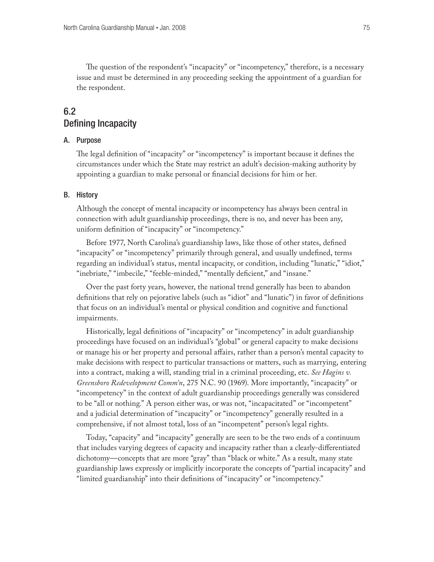The question of the respondent's "incapacity" or "incompetency," therefore, is a necessary issue and must be determined in any proceeding seeking the appointment of a guardian for the respondent.

# 6.2 Defining Incapacity

### A. Purpose

The legal definition of "incapacity" or "incompetency" is important because it defines the circumstances under which the State may restrict an adult's decision-making authority by appointing a guardian to make personal or financial decisions for him or her.

### B. History

Although the concept of mental incapacity or incompetency has always been central in connection with adult guardianship proceedings, there is no, and never has been any, uniform definition of "incapacity" or "incompetency."

Before 1977, North Carolina's guardianship laws, like those of other states, defined "incapacity" or "incompetency" primarily through general, and usually undefined, terms regarding an individual's status, mental incapacity, or condition, including "lunatic," "idiot," "inebriate," "imbecile," "feeble-minded," "mentally deficient," and "insane."

Over the past forty years, however, the national trend generally has been to abandon definitions that rely on pejorative labels (such as "idiot" and "lunatic") in favor of definitions that focus on an individual's mental or physical condition and cognitive and functional impairments.

Historically, legal definitions of "incapacity" or "incompetency" in adult guardianship proceedings have focused on an individual's "global" or general capacity to make decisions or manage his or her property and personal affairs, rather than a person's mental capacity to make decisions with respect to particular transactions or matters, such as marrying, entering into a contract, making a will, standing trial in a criminal proceeding, etc. *See Hagins v. Greensboro Redevelopment Comm'n*, 275 N.C. 90 (1969). More importantly, "incapacity" or "incompetency" in the context of adult guardianship proceedings generally was considered to be "all or nothing." A person either was, or was not, "incapacitated" or "incompetent" and a judicial determination of "incapacity" or "incompetency" generally resulted in a comprehensive, if not almost total, loss of an "incompetent" person's legal rights.

Today, "capacity" and "incapacity" generally are seen to be the two ends of a continuum that includes varying degrees of capacity and incapacity rather than a clearly-differentiated dichotomy—concepts that are more "gray" than "black or white." As a result, many state guardianship laws expressly or implicitly incorporate the concepts of "partial incapacity" and "limited guardianship" into their definitions of "incapacity" or "incompetency."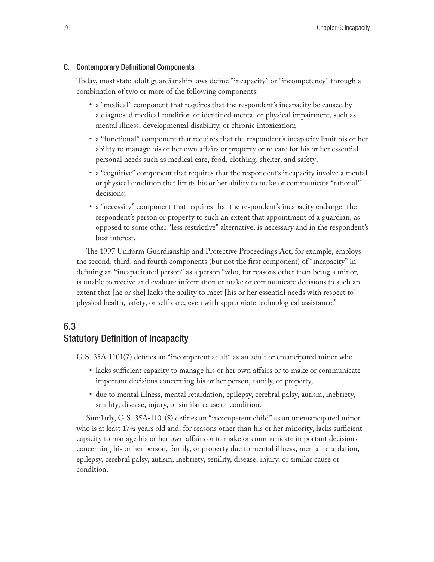### C. Contemporary Definitional Components

Today, most state adult guardianship laws define "incapacity" or "incompetency" through a combination of two or more of the following components:

- • a "medical" component that requires that the respondent's incapacity be caused by a diagnosed medical condition or identified mental or physical impairment, such as mental illness, developmental disability, or chronic intoxication;
- • a "functional" component that requires that the respondent's incapacity limit his or her ability to manage his or her own affairs or property or to care for his or her essential personal needs such as medical care, food, clothing, shelter, and safety;
- • a "cognitive" component that requires that the respondent's incapacity involve a mental or physical condition that limits his or her ability to make or communicate "rational" decisions;
- • a "necessity" component that requires that the respondent's incapacity endanger the respondent's person or property to such an extent that appointment of a guardian, as opposed to some other "less restrictive" alternative, is necessary and in the respondent's best interest.

The 1997 Uniform Guardianship and Protective Proceedings Act, for example, employs the second, third, and fourth components (but not the first component) of "incapacity" in defining an "incapacitated person" as a person "who, for reasons other than being a minor, is unable to receive and evaluate information or make or communicate decisions to such an extent that [he or she] lacks the ability to meet [his or her essential needs with respect to] physical health, safety, or self-care, even with appropriate technological assistance."

# 6.3 Statutory Definition of Incapacity

G.S. 35A-1101(7) defines an "incompetent adult" as an adult or emancipated minor who

- • lacks sufficient capacity to manage his or her own affairs or to make or communicate important decisions concerning his or her person, family, or property,
- • due to mental illness, mental retardation, epilepsy, cerebral palsy, autism, inebriety, senility, disease, injury, or similar cause or condition.

Similarly, G.S. 35A-1101(8) defines an "incompetent child" as an unemancipated minor who is at least 17½ years old and, for reasons other than his or her minority, lacks sufficient capacity to manage his or her own affairs or to make or communicate important decisions concerning his or her person, family, or property due to mental illness, mental retardation, epilepsy, cerebral palsy, autism, inebriety, senility, disease, injury, or similar cause or condition.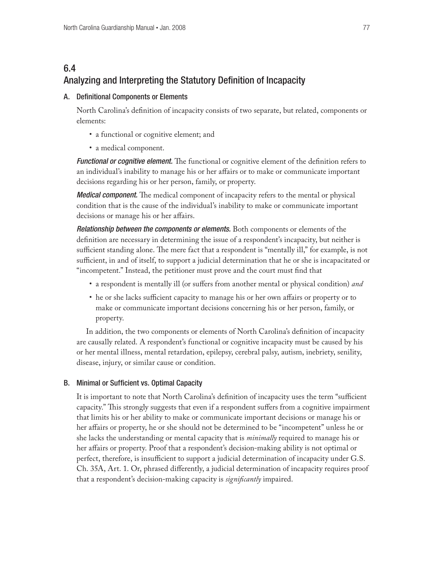# 6.4 Analyzing and Interpreting the Statutory Definition of Incapacity

### A. Definitional Components or Elements

North Carolina's definition of incapacity consists of two separate, but related, components or elements:

- a functional or cognitive element; and
- a medical component.

*Functional or cognitive element.* The functional or cognitive element of the definition refers to an individual's inability to manage his or her affairs or to make or communicate important decisions regarding his or her person, family, or property.

*Medical component.* The medical component of incapacity refers to the mental or physical condition that is the cause of the individual's inability to make or communicate important decisions or manage his or her affairs.

*Relationship between the components or elements.* Both components or elements of the definition are necessary in determining the issue of a respondent's incapacity, but neither is sufficient standing alone. The mere fact that a respondent is "mentally ill," for example, is not sufficient, in and of itself, to support a judicial determination that he or she is incapacitated or "incompetent." Instead, the petitioner must prove and the court must find that

- • a respondent is mentally ill (or suffers from another mental or physical condition) *and*
- he or she lacks sufficient capacity to manage his or her own affairs or property or to make or communicate important decisions concerning his or her person, family, or property.

In addition, the two components or elements of North Carolina's definition of incapacity are causally related. A respondent's functional or cognitive incapacity must be caused by his or her mental illness, mental retardation, epilepsy, cerebral palsy, autism, inebriety, senility, disease, injury, or similar cause or condition.

# B. Minimal or Sufficient vs. Optimal Capacity

It is important to note that North Carolina's definition of incapacity uses the term "sufficient capacity." This strongly suggests that even if a respondent suffers from a cognitive impairment that limits his or her ability to make or communicate important decisions or manage his or her affairs or property, he or she should not be determined to be "incompetent" unless he or she lacks the understanding or mental capacity that is *minimally* required to manage his or her affairs or property. Proof that a respondent's decision-making ability is not optimal or perfect, therefore, is insufficient to support a judicial determination of incapacity under G.S. Ch. 35A, Art. 1. Or, phrased differently, a judicial determination of incapacity requires proof that a respondent's decision-making capacity is *significantly* impaired.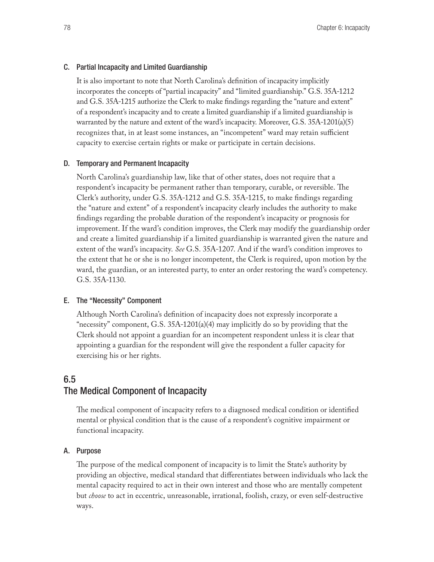### C. Partial Incapacity and Limited Guardianship

It is also important to note that North Carolina's definition of incapacity implicitly incorporates the concepts of "partial incapacity" and "limited guardianship." G.S. 35A-1212 and G.S. 35A-1215 authorize the Clerk to make findings regarding the "nature and extent" of a respondent's incapacity and to create a limited guardianship if a limited guardianship is warranted by the nature and extent of the ward's incapacity. Moreover, G.S. 35A-1201(a)(5) recognizes that, in at least some instances, an "incompetent" ward may retain sufficient capacity to exercise certain rights or make or participate in certain decisions.

### D. Temporary and Permanent Incapacity

North Carolina's guardianship law, like that of other states, does not require that a respondent's incapacity be permanent rather than temporary, curable, or reversible. The Clerk's authority, under G.S. 35A-1212 and G.S. 35A-1215, to make findings regarding the "nature and extent" of a respondent's incapacity clearly includes the authority to make findings regarding the probable duration of the respondent's incapacity or prognosis for improvement. If the ward's condition improves, the Clerk may modify the guardianship order and create a limited guardianship if a limited guardianship is warranted given the nature and extent of the ward's incapacity. *See* G.S. 35A-1207. And if the ward's condition improves to the extent that he or she is no longer incompetent, the Clerk is required, upon motion by the ward, the guardian, or an interested party, to enter an order restoring the ward's competency. G.S. 35A-1130.

### E. The "Necessity" Component

Although North Carolina's definition of incapacity does not expressly incorporate a "necessity" component, G.S.  $35A-1201(a)(4)$  may implicitly do so by providing that the Clerk should not appoint a guardian for an incompetent respondent unless it is clear that appointing a guardian for the respondent will give the respondent a fuller capacity for exercising his or her rights.

# 6.5 The Medical Component of Incapacity

The medical component of incapacity refers to a diagnosed medical condition or identified mental or physical condition that is the cause of a respondent's cognitive impairment or functional incapacity.

### A. Purpose

The purpose of the medical component of incapacity is to limit the State's authority by providing an objective, medical standard that differentiates between individuals who lack the mental capacity required to act in their own interest and those who are mentally competent but *choose* to act in eccentric, unreasonable, irrational, foolish, crazy, or even self-destructive ways.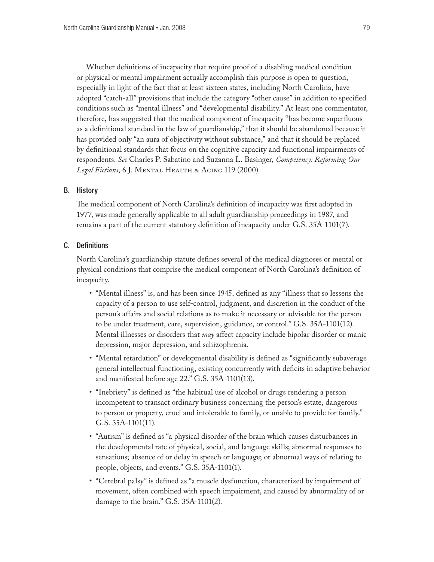Whether definitions of incapacity that require proof of a disabling medical condition or physical or mental impairment actually accomplish this purpose is open to question, especially in light of the fact that at least sixteen states, including North Carolina, have adopted "catch-all" provisions that include the category "other cause" in addition to specified conditions such as "mental illness" and "developmental disability." At least one commentator, therefore, has suggested that the medical component of incapacity "has become superfluous as a definitional standard in the law of guardianship," that it should be abandoned because it has provided only "an aura of objectivity without substance," and that it should be replaced by definitional standards that focus on the cognitive capacity and functional impairments of respondents. *See* Charles P. Sabatino and Suzanna L. Basinger, *Competency: Reforming Our Legal Fictions*, 6 J. Mental Health & Aging 119 (2000).

### B. History

The medical component of North Carolina's definition of incapacity was first adopted in 1977, was made generally applicable to all adult guardianship proceedings in 1987, and remains a part of the current statutory definition of incapacity under G.S. 35A-1101(7).

### C. Definitions

North Carolina's guardianship statute defines several of the medical diagnoses or mental or physical conditions that comprise the medical component of North Carolina's definition of incapacity.

- "Mental illness" is, and has been since 1945, defined as any "illness that so lessens the capacity of a person to use self-control, judgment, and discretion in the conduct of the person's affairs and social relations as to make it necessary or advisable for the person to be under treatment, care, supervision, guidance, or control." G.S. 35A-1101(12). Mental illnesses or disorders that *may* affect capacity include bipolar disorder or manic depression, major depression, and schizophrenia.
- "Mental retardation" or developmental disability is defined as "significantly subaverage general intellectual functioning, existing concurrently with deficits in adaptive behavior and manifested before age 22." G.S. 35A-1101(13).
- "Inebriety" is defined as "the habitual use of alcohol or drugs rendering a person incompetent to transact ordinary business concerning the person's estate, dangerous to person or property, cruel and intolerable to family, or unable to provide for family." G.S. 35A-1101(11).
- • "Autism" is defined as "a physical disorder of the brain which causes disturbances in the developmental rate of physical, social, and language skills; abnormal responses to sensations; absence of or delay in speech or language; or abnormal ways of relating to people, objects, and events." G.S. 35A-1101(1).
- "Cerebral palsy" is defined as "a muscle dysfunction, characterized by impairment of movement, often combined with speech impairment, and caused by abnormality of or damage to the brain." G.S. 35A-1101(2).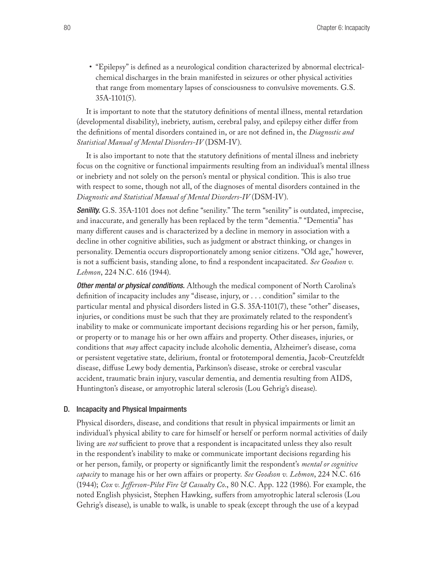• "Epilepsy" is defined as a neurological condition characterized by abnormal electricalchemical discharges in the brain manifested in seizures or other physical activities that range from momentary lapses of consciousness to convulsive movements. G.S. 35A-1101(5).

It is important to note that the statutory definitions of mental illness, mental retardation (developmental disability), inebriety, autism, cerebral palsy, and epilepsy either differ from the definitions of mental disorders contained in, or are not defined in, the *Diagnostic and Statistical Manual of Mental Disorders-IV* (DSM-IV).

It is also important to note that the statutory definitions of mental illness and inebriety focus on the cognitive or functional impairments resulting from an individual's mental illness or inebriety and not solely on the person's mental or physical condition. This is also true with respect to some, though not all, of the diagnoses of mental disorders contained in the *Diagnostic and Statistical Manual of Mental Disorders-IV* (DSM-IV).

**Senility.** G.S. 35A-1101 does not define "senility." The term "senility" is outdated, imprecise, and inaccurate, and generally has been replaced by the term "dementia." "Dementia" has many different causes and is characterized by a decline in memory in association with a decline in other cognitive abilities, such as judgment or abstract thinking, or changes in personality. Dementia occurs disproportionately among senior citizens. "Old age," however, is not a sufficient basis, standing alone, to find a respondent incapacitated. *See Goodson v. Lehmon*, 224 N.C. 616 (1944).

*Other mental or physical conditions.* Although the medical component of North Carolina's definition of incapacity includes any "disease, injury, or . . . condition" similar to the particular mental and physical disorders listed in G.S. 35A-1101(7), these "other" diseases, injuries, or conditions must be such that they are proximately related to the respondent's inability to make or communicate important decisions regarding his or her person, family, or property or to manage his or her own affairs and property. Other diseases, injuries, or conditions that *may* affect capacity include alcoholic dementia, Alzheimer's disease, coma or persistent vegetative state, delirium, frontal or frototemporal dementia, Jacob-Creutzfeldt disease, diffuse Lewy body dementia, Parkinson's disease, stroke or cerebral vascular accident, traumatic brain injury, vascular dementia, and dementia resulting from AIDS, Huntington's disease, or amyotrophic lateral sclerosis (Lou Gehrig's disease).

#### D. Incapacity and Physical Impairments

Physical disorders, disease, and conditions that result in physical impairments or limit an individual's physical ability to care for himself or herself or perform normal activities of daily living are *not* sufficient to prove that a respondent is incapacitated unless they also result in the respondent's inability to make or communicate important decisions regarding his or her person, family, or property or significantly limit the respondent's *mental or cognitive capacity* to manage his or her own affairs or property. *See Goodson v. Lehmon*, 224 N.C. 616 (1944); *Cox v. Jefferson-Pilot Fire & Casualty Co*., 80 N.C. App. 122 (1986). For example, the noted English physicist, Stephen Hawking, suffers from amyotrophic lateral sclerosis (Lou Gehrig's disease), is unable to walk, is unable to speak (except through the use of a keypad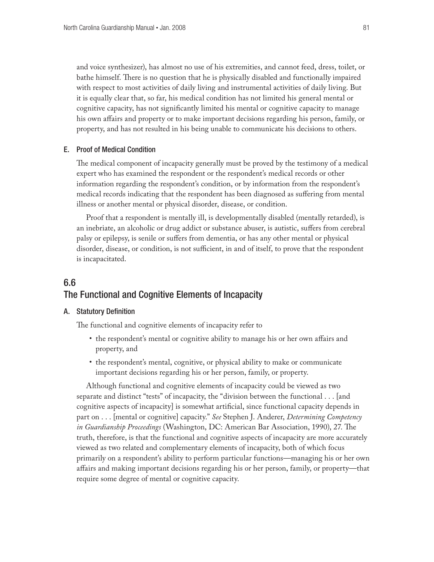and voice synthesizer), has almost no use of his extremities, and cannot feed, dress, toilet, or bathe himself. There is no question that he is physically disabled and functionally impaired with respect to most activities of daily living and instrumental activities of daily living. But it is equally clear that, so far, his medical condition has not limited his general mental or cognitive capacity, has not significantly limited his mental or cognitive capacity to manage his own affairs and property or to make important decisions regarding his person, family, or property, and has not resulted in his being unable to communicate his decisions to others.

### E. Proof of Medical Condition

The medical component of incapacity generally must be proved by the testimony of a medical expert who has examined the respondent or the respondent's medical records or other information regarding the respondent's condition, or by information from the respondent's medical records indicating that the respondent has been diagnosed as suffering from mental illness or another mental or physical disorder, disease, or condition.

Proof that a respondent is mentally ill, is developmentally disabled (mentally retarded), is an inebriate, an alcoholic or drug addict or substance abuser, is autistic, suffers from cerebral palsy or epilepsy, is senile or suffers from dementia, or has any other mental or physical disorder, disease, or condition, is not sufficient, in and of itself, to prove that the respondent is incapacitated.

# 6.6 The Functional and Cognitive Elements of Incapacity

### A. Statutory Definition

The functional and cognitive elements of incapacity refer to

- the respondent's mental or cognitive ability to manage his or her own affairs and property, and
- the respondent's mental, cognitive, or physical ability to make or communicate important decisions regarding his or her person, family, or property.

Although functional and cognitive elements of incapacity could be viewed as two separate and distinct "tests" of incapacity, the "division between the functional . . . [and cognitive aspects of incapacity] is somewhat artificial, since functional capacity depends in part on . . . [mental or cognitive] capacity." *See* Stephen J. Anderer, *Determining Competency in Guardianship Proceedings* (Washington, DC: American Bar Association, 1990), 27. The truth, therefore, is that the functional and cognitive aspects of incapacity are more accurately viewed as two related and complementary elements of incapacity, both of which focus primarily on a respondent's ability to perform particular functions—managing his or her own affairs and making important decisions regarding his or her person, family, or property—that require some degree of mental or cognitive capacity.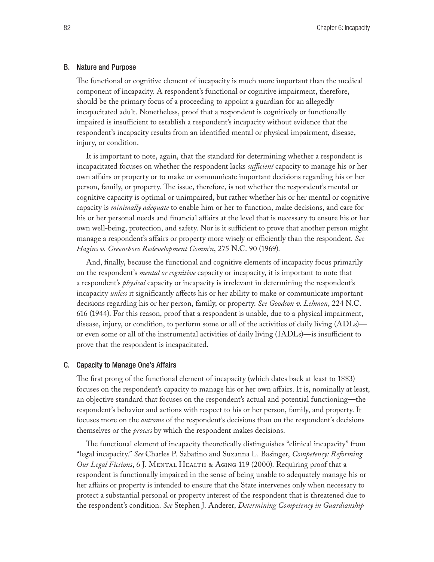#### B. Nature and Purpose

The functional or cognitive element of incapacity is much more important than the medical component of incapacity. A respondent's functional or cognitive impairment, therefore, should be the primary focus of a proceeding to appoint a guardian for an allegedly incapacitated adult. Nonetheless, proof that a respondent is cognitively or functionally impaired is insufficient to establish a respondent's incapacity without evidence that the respondent's incapacity results from an identified mental or physical impairment, disease, injury, or condition.

It is important to note, again, that the standard for determining whether a respondent is incapacitated focuses on whether the respondent lacks *sufficient* capacity to manage his or her own affairs or property or to make or communicate important decisions regarding his or her person, family, or property. The issue, therefore, is not whether the respondent's mental or cognitive capacity is optimal or unimpaired, but rather whether his or her mental or cognitive capacity is *minimally adequate* to enable him or her to function, make decisions, and care for his or her personal needs and financial affairs at the level that is necessary to ensure his or her own well-being, protection, and safety. Nor is it sufficient to prove that another person might manage a respondent's affairs or property more wisely or efficiently than the respondent. *See Hagins v. Greensboro Redevelopment Comm'n*, 275 N.C. 90 (1969).

And, finally, because the functional and cognitive elements of incapacity focus primarily on the respondent's *mental or cognitive* capacity or incapacity, it is important to note that a respondent's *physical* capacity or incapacity is irrelevant in determining the respondent's incapacity *unless* it significantly affects his or her ability to make or communicate important decisions regarding his or her person, family, or property. *See Goodson v. Lehmon*, 224 N.C. 616 (1944). For this reason, proof that a respondent is unable, due to a physical impairment, disease, injury, or condition, to perform some or all of the activities of daily living (ADLs) or even some or all of the instrumental activities of daily living (IADLs)—is insufficient to prove that the respondent is incapacitated.

#### C. Capacity to Manage One's Affairs

The first prong of the functional element of incapacity (which dates back at least to 1883) focuses on the respondent's capacity to manage his or her own affairs. It is, nominally at least, an objective standard that focuses on the respondent's actual and potential functioning—the respondent's behavior and actions with respect to his or her person, family, and property. It focuses more on the *outcome* of the respondent's decisions than on the respondent's decisions themselves or the *process* by which the respondent makes decisions.

The functional element of incapacity theoretically distinguishes "clinical incapacity" from "legal incapacity." *See* Charles P. Sabatino and Suzanna L. Basinger, *Competency: Reforming Our Legal Fictions*, 6 J. MENTAL HEALTH & AGING 119 (2000). Requiring proof that a respondent is functionally impaired in the sense of being unable to adequately manage his or her affairs or property is intended to ensure that the State intervenes only when necessary to protect a substantial personal or property interest of the respondent that is threatened due to the respondent's condition. *See* Stephen J. Anderer, *Determining Competency in Guardianship*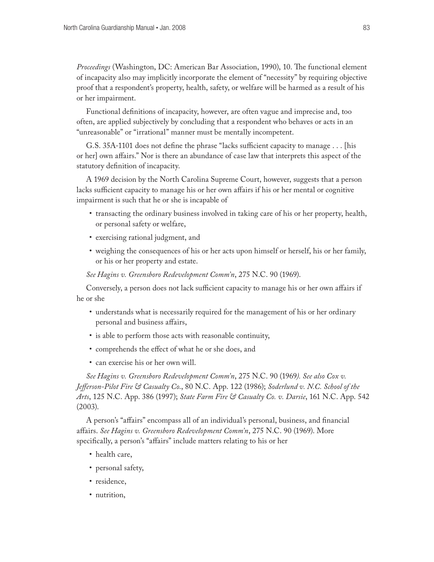*Proceedings* (Washington, DC: American Bar Association, 1990), 10. The functional element of incapacity also may implicitly incorporate the element of "necessity" by requiring objective proof that a respondent's property, health, safety, or welfare will be harmed as a result of his or her impairment.

Functional definitions of incapacity, however, are often vague and imprecise and, too often, are applied subjectively by concluding that a respondent who behaves or acts in an "unreasonable" or "irrational" manner must be mentally incompetent.

G.S. 35A-1101 does not define the phrase "lacks sufficient capacity to manage . . . [his or her] own affairs." Nor is there an abundance of case law that interprets this aspect of the statutory definition of incapacity.

A 1969 decision by the North Carolina Supreme Court, however, suggests that a person lacks sufficient capacity to manage his or her own affairs if his or her mental or cognitive impairment is such that he or she is incapable of

- transacting the ordinary business involved in taking care of his or her property, health, or personal safety or welfare,
- exercising rational judgment, and
- weighing the consequences of his or her acts upon himself or herself, his or her family, or his or her property and estate.

*See Hagins v. Greensboro Redevelopment Comm'n*, 275 N.C. 90 (1969).

Conversely, a person does not lack sufficient capacity to manage his or her own affairs if he or she

- understands what is necessarily required for the management of his or her ordinary personal and business affairs,
- is able to perform those acts with reasonable continuity,
- • comprehends the effect of what he or she does, and
- • can exercise his or her own will.

*See Hagins v. Greensboro Redevelopment Comm'n*, 275 N.C. 90 (1969*). See also Cox v. Jefferson-Pilot Fire & Casualty Co*., 80 N.C. App. 122 (1986); *Soderlund v. N.C. School of the Arts*, 125 N.C. App. 386 (1997); *State Farm Fire & Casualty Co. v. Darsie*, 161 N.C. App. 542 (2003).

A person's "affairs" encompass all of an individual's personal, business, and financial affairs. *See Hagins v. Greensboro Redevelopment Comm'n*, 275 N.C. 90 (1969). More specifically, a person's "affairs" include matters relating to his or her

- health care,
- personal safety,
- residence,
- nutrition,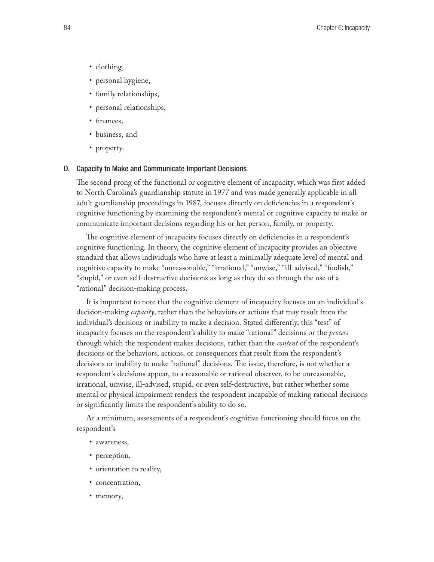- clothing,
- personal hygiene,
- family relationships,
- personal relationships,
- finances,
- • business, and
- property.

### D. Capacity to Make and Communicate Important Decisions

The second prong of the functional or cognitive element of incapacity, which was first added to North Carolina's guardianship statute in 1977 and was made generally applicable in all adult guardianship proceedings in 1987, focuses directly on deficiencies in a respondent's cognitive functioning by examining the respondent's mental or cognitive capacity to make or communicate important decisions regarding his or her person, family, or property.

The cognitive element of incapacity focuses directly on deficiencies in a respondent's cognitive functioning. In theory, the cognitive element of incapacity provides an objective standard that allows individuals who have at least a minimally adequate level of mental and cognitive capacity to make "unreasonable," "irrational," "unwise," "ill-advised," "foolish," "stupid," or even self-destructive decisions as long as they do so through the use of a "rational" decision-making process.

It is important to note that the cognitive element of incapacity focuses on an individual's decision-making *capacity*, rather than the behaviors or actions that may result from the individual's decisions or inability to make a decision. Stated differently, this "test" of incapacity focuses on the respondent's ability to make "rational" decisions or the *process* through which the respondent makes decisions, rather than the *content* of the respondent's decisions or the behaviors, actions, or consequences that result from the respondent's decisions or inability to make "rational" decisions. The issue, therefore, is not whether a respondent's decisions appear, to a reasonable or rational observer, to be unreasonable, irrational, unwise, ill-advised, stupid, or even self-destructive, but rather whether some mental or physical impairment renders the respondent incapable of making rational decisions or significantly limits the respondent's ability to do so.

At a minimum, assessments of a respondent's cognitive functioning should focus on the respondent's

- awareness,
- perception,
- • orientation to reality,
- concentration,
- memory,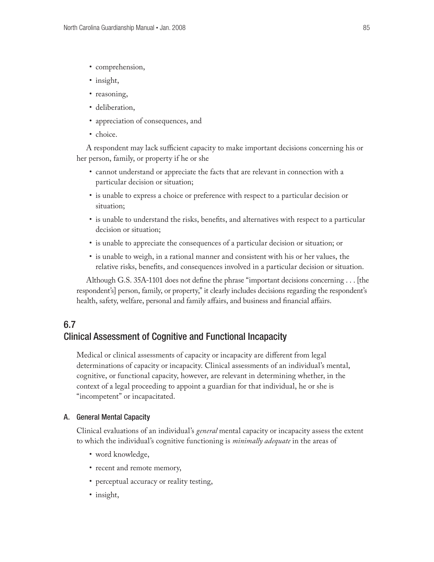- comprehension,
- insight,
- reasoning,
- deliberation,
- appreciation of consequences, and
- choice.

A respondent may lack sufficient capacity to make important decisions concerning his or her person, family, or property if he or she

- • cannot understand or appreciate the facts that are relevant in connection with a particular decision or situation;
- is unable to express a choice or preference with respect to a particular decision or situation;
- is unable to understand the risks, benefits, and alternatives with respect to a particular decision or situation;
- is unable to appreciate the consequences of a particular decision or situation; or
- • is unable to weigh, in a rational manner and consistent with his or her values, the relative risks, benefits, and consequences involved in a particular decision or situation.

Although G.S. 35A-1101 does not define the phrase "important decisions concerning . . . [the respondent's] person, family, or property," it clearly includes decisions regarding the respondent's health, safety, welfare, personal and family affairs, and business and financial affairs.

# 6.7 Clinical Assessment of Cognitive and Functional Incapacity

Medical or clinical assessments of capacity or incapacity are different from legal determinations of capacity or incapacity. Clinical assessments of an individual's mental, cognitive, or functional capacity, however, are relevant in determining whether, in the context of a legal proceeding to appoint a guardian for that individual, he or she is "incompetent" or incapacitated.

### A. General Mental Capacity

Clinical evaluations of an individual's *general* mental capacity or incapacity assess the extent to which the individual's cognitive functioning is *minimally adequate* in the areas of

- word knowledge,
- recent and remote memory,
- perceptual accuracy or reality testing,
- insight,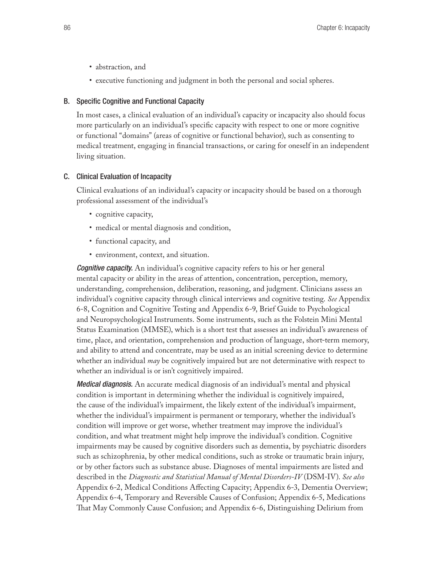- abstraction, and
- executive functioning and judgment in both the personal and social spheres.

### B. Specific Cognitive and Functional Capacity

In most cases, a clinical evaluation of an individual's capacity or incapacity also should focus more particularly on an individual's specific capacity with respect to one or more cognitive or functional "domains" (areas of cognitive or functional behavior), such as consenting to medical treatment, engaging in financial transactions, or caring for oneself in an independent living situation.

### C. Clinical Evaluation of Incapacity

Clinical evaluations of an individual's capacity or incapacity should be based on a thorough professional assessment of the individual's

- • cognitive capacity,
- medical or mental diagnosis and condition,
- • functional capacity, and
- environment, context, and situation.

*Cognitive capacity.* An individual's cognitive capacity refers to his or her general mental capacity or ability in the areas of attention, concentration, perception, memory, understanding, comprehension, deliberation, reasoning, and judgment. Clinicians assess an individual's cognitive capacity through clinical interviews and cognitive testing. *See* Appendix 6-8, Cognition and Cognitive Testing and Appendix 6-9, Brief Guide to Psychological and Neuropsychological Instruments. Some instruments, such as the Folstein Mini Mental Status Examination (MMSE), which is a short test that assesses an individual's awareness of time, place, and orientation, comprehension and production of language, short-term memory, and ability to attend and concentrate, may be used as an initial screening device to determine whether an individual *may* be cognitively impaired but are not determinative with respect to whether an individual is or isn't cognitively impaired.

*Medical diagnosis.* An accurate medical diagnosis of an individual's mental and physical condition is important in determining whether the individual is cognitively impaired, the cause of the individual's impairment, the likely extent of the individual's impairment, whether the individual's impairment is permanent or temporary, whether the individual's condition will improve or get worse, whether treatment may improve the individual's condition, and what treatment might help improve the individual's condition. Cognitive impairments may be caused by cognitive disorders such as dementia, by psychiatric disorders such as schizophrenia, by other medical conditions, such as stroke or traumatic brain injury, or by other factors such as substance abuse. Diagnoses of mental impairments are listed and described in the *Diagnostic and Statistical Manual of Mental Disorders-IV* (DSM-IV). *See also*  Appendix 6-2, Medical Conditions Affecting Capacity; Appendix 6-3, Dementia Overview; Appendix 6-4, Temporary and Reversible Causes of Confusion; Appendix 6-5, Medications That May Commonly Cause Confusion; and Appendix 6-6, Distinguishing Delirium from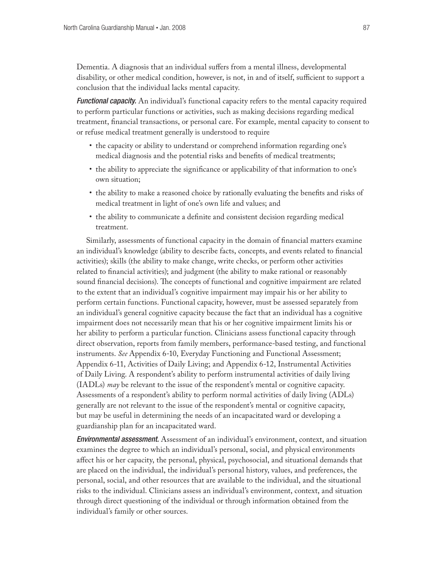Dementia. A diagnosis that an individual suffers from a mental illness, developmental disability, or other medical condition, however, is not, in and of itself, sufficient to support a conclusion that the individual lacks mental capacity.

*Functional capacity.* An individual's functional capacity refers to the mental capacity required to perform particular functions or activities, such as making decisions regarding medical treatment, financial transactions, or personal care. For example, mental capacity to consent to or refuse medical treatment generally is understood to require

- the capacity or ability to understand or comprehend information regarding one's medical diagnosis and the potential risks and benefits of medical treatments;
- the ability to appreciate the significance or applicability of that information to one's own situation;
- the ability to make a reasoned choice by rationally evaluating the benefits and risks of medical treatment in light of one's own life and values; and
- • the ability to communicate a definite and consistent decision regarding medical treatment.

Similarly, assessments of functional capacity in the domain of financial matters examine an individual's knowledge (ability to describe facts, concepts, and events related to financial activities); skills (the ability to make change, write checks, or perform other activities related to financial activities); and judgment (the ability to make rational or reasonably sound financial decisions). The concepts of functional and cognitive impairment are related to the extent that an individual's cognitive impairment may impair his or her ability to perform certain functions. Functional capacity, however, must be assessed separately from an individual's general cognitive capacity because the fact that an individual has a cognitive impairment does not necessarily mean that his or her cognitive impairment limits his or her ability to perform a particular function. Clinicians assess functional capacity through direct observation, reports from family members, performance-based testing, and functional instruments. *See* Appendix 6-10, Everyday Functioning and Functional Assessment; Appendix 6-11, Activities of Daily Living; and Appendix 6-12, Instrumental Activities of Daily Living. A respondent's ability to perform instrumental activities of daily living (IADLs) *may* be relevant to the issue of the respondent's mental or cognitive capacity. Assessments of a respondent's ability to perform normal activities of daily living (ADLs) generally are not relevant to the issue of the respondent's mental or cognitive capacity, but may be useful in determining the needs of an incapacitated ward or developing a guardianship plan for an incapacitated ward.

*Environmental assessment.* Assessment of an individual's environment, context, and situation examines the degree to which an individual's personal, social, and physical environments affect his or her capacity, the personal, physical, psychosocial, and situational demands that are placed on the individual, the individual's personal history, values, and preferences, the personal, social, and other resources that are available to the individual, and the situational risks to the individual. Clinicians assess an individual's environment, context, and situation through direct questioning of the individual or through information obtained from the individual's family or other sources.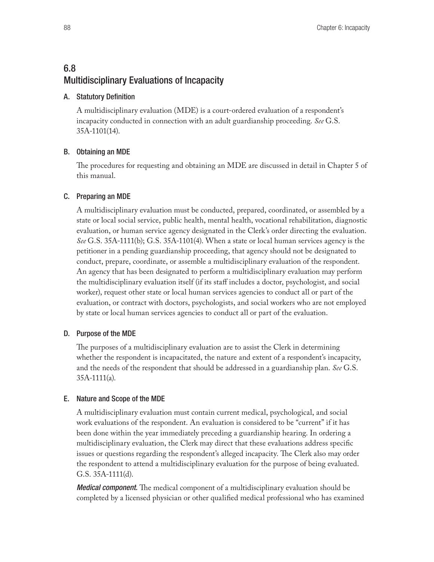# 6.8 Multidisciplinary Evaluations of Incapacity

### A. Statutory Definition

A multidisciplinary evaluation (MDE) is a court-ordered evaluation of a respondent's incapacity conducted in connection with an adult guardianship proceeding. *See* G.S. 35A-1101(14).

# B. Obtaining an MDE

The procedures for requesting and obtaining an MDE are discussed in detail in Chapter 5 of this manual.

### C. Preparing an MDE

A multidisciplinary evaluation must be conducted, prepared, coordinated, or assembled by a state or local social service, public health, mental health, vocational rehabilitation, diagnostic evaluation, or human service agency designated in the Clerk's order directing the evaluation. *See* G.S. 35A-1111(b); G.S. 35A-1101(4). When a state or local human services agency is the petitioner in a pending guardianship proceeding, that agency should not be designated to conduct, prepare, coordinate, or assemble a multidisciplinary evaluation of the respondent. An agency that has been designated to perform a multidisciplinary evaluation may perform the multidisciplinary evaluation itself (if its staff includes a doctor, psychologist, and social worker), request other state or local human services agencies to conduct all or part of the evaluation, or contract with doctors, psychologists, and social workers who are not employed by state or local human services agencies to conduct all or part of the evaluation.

# D. Purpose of the MDE

The purposes of a multidisciplinary evaluation are to assist the Clerk in determining whether the respondent is incapacitated, the nature and extent of a respondent's incapacity, and the needs of the respondent that should be addressed in a guardianship plan. *See* G.S. 35A-1111(a).

# E. Nature and Scope of the MDE

A multidisciplinary evaluation must contain current medical, psychological, and social work evaluations of the respondent. An evaluation is considered to be "current" if it has been done within the year immediately preceding a guardianship hearing. In ordering a multidisciplinary evaluation, the Clerk may direct that these evaluations address specific issues or questions regarding the respondent's alleged incapacity. The Clerk also may order the respondent to attend a multidisciplinary evaluation for the purpose of being evaluated. G.S. 35A-1111(d).

*Medical component.* The medical component of a multidisciplinary evaluation should be completed by a licensed physician or other qualified medical professional who has examined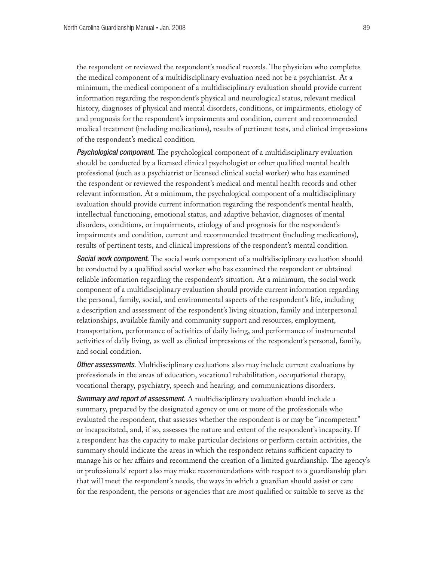the respondent or reviewed the respondent's medical records. The physician who completes the medical component of a multidisciplinary evaluation need not be a psychiatrist. At a minimum, the medical component of a multidisciplinary evaluation should provide current information regarding the respondent's physical and neurological status, relevant medical history, diagnoses of physical and mental disorders, conditions, or impairments, etiology of and prognosis for the respondent's impairments and condition, current and recommended medical treatment (including medications), results of pertinent tests, and clinical impressions of the respondent's medical condition.

*Psychological component.* The psychological component of a multidisciplinary evaluation should be conducted by a licensed clinical psychologist or other qualified mental health professional (such as a psychiatrist or licensed clinical social worker) who has examined the respondent or reviewed the respondent's medical and mental health records and other relevant information. At a minimum, the psychological component of a multidisciplinary evaluation should provide current information regarding the respondent's mental health, intellectual functioning, emotional status, and adaptive behavior, diagnoses of mental disorders, conditions, or impairments, etiology of and prognosis for the respondent's impairments and condition, current and recommended treatment (including medications), results of pertinent tests, and clinical impressions of the respondent's mental condition.

*Social work component.* The social work component of a multidisciplinary evaluation should be conducted by a qualified social worker who has examined the respondent or obtained reliable information regarding the respondent's situation. At a minimum, the social work component of a multidisciplinary evaluation should provide current information regarding the personal, family, social, and environmental aspects of the respondent's life, including a description and assessment of the respondent's living situation, family and interpersonal relationships, available family and community support and resources, employment, transportation, performance of activities of daily living, and performance of instrumental activities of daily living, as well as clinical impressions of the respondent's personal, family, and social condition.

*Other assessments.* Multidisciplinary evaluations also may include current evaluations by professionals in the areas of education, vocational rehabilitation, occupational therapy, vocational therapy, psychiatry, speech and hearing, and communications disorders.

*Summary and report of assessment.* A multidisciplinary evaluation should include a summary, prepared by the designated agency or one or more of the professionals who evaluated the respondent, that assesses whether the respondent is or may be "incompetent" or incapacitated, and, if so, assesses the nature and extent of the respondent's incapacity. If a respondent has the capacity to make particular decisions or perform certain activities, the summary should indicate the areas in which the respondent retains sufficient capacity to manage his or her affairs and recommend the creation of a limited guardianship. The agency's or professionals' report also may make recommendations with respect to a guardianship plan that will meet the respondent's needs, the ways in which a guardian should assist or care for the respondent, the persons or agencies that are most qualified or suitable to serve as the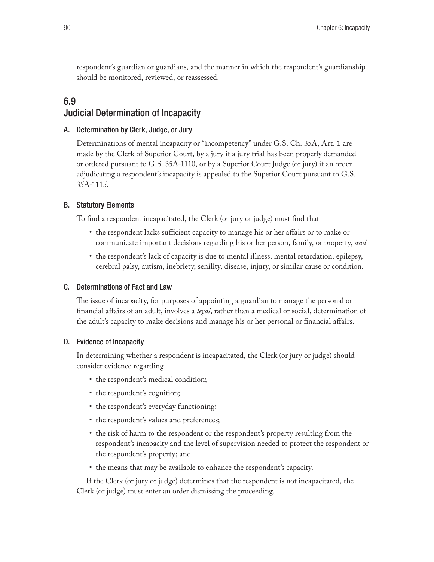respondent's guardian or guardians, and the manner in which the respondent's guardianship should be monitored, reviewed, or reassessed.

# 6.9 Judicial Determination of Incapacity

### A. Determination by Clerk, Judge, or Jury

Determinations of mental incapacity or "incompetency" under G.S. Ch. 35A, Art. 1 are made by the Clerk of Superior Court, by a jury if a jury trial has been properly demanded or ordered pursuant to G.S. 35A-1110, or by a Superior Court Judge (or jury) if an order adjudicating a respondent's incapacity is appealed to the Superior Court pursuant to G.S. 35A-1115.

### B. Statutory Elements

To find a respondent incapacitated, the Clerk (or jury or judge) must find that

- the respondent lacks sufficient capacity to manage his or her affairs or to make or communicate important decisions regarding his or her person, family, or property, *and*
- the respondent's lack of capacity is due to mental illness, mental retardation, epilepsy, cerebral palsy, autism, inebriety, senility, disease, injury, or similar cause or condition.

### C. Determinations of Fact and Law

The issue of incapacity, for purposes of appointing a guardian to manage the personal or financial affairs of an adult, involves a *legal*, rather than a medical or social, determination of the adult's capacity to make decisions and manage his or her personal or financial affairs.

### D. Evidence of Incapacity

In determining whether a respondent is incapacitated, the Clerk (or jury or judge) should consider evidence regarding

- the respondent's medical condition;
- the respondent's cognition;
- the respondent's everyday functioning;
- the respondent's values and preferences;
- the risk of harm to the respondent or the respondent's property resulting from the respondent's incapacity and the level of supervision needed to protect the respondent or the respondent's property; and
- the means that may be available to enhance the respondent's capacity.

If the Clerk (or jury or judge) determines that the respondent is not incapacitated, the Clerk (or judge) must enter an order dismissing the proceeding.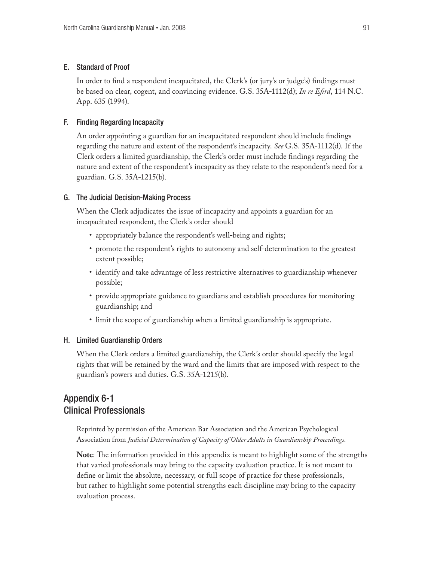### E. Standard of Proof

In order to find a respondent incapacitated, the Clerk's (or jury's or judge's) findings must be based on clear, cogent, and convincing evidence. G.S. 35A-1112(d); *In re Efird*, 114 N.C. App. 635 (1994).

### F. Finding Regarding Incapacity

An order appointing a guardian for an incapacitated respondent should include findings regarding the nature and extent of the respondent's incapacity. *See* G.S. 35A-1112(d). If the Clerk orders a limited guardianship, the Clerk's order must include findings regarding the nature and extent of the respondent's incapacity as they relate to the respondent's need for a guardian. G.S. 35A-1215(b).

### G. The Judicial Decision-Making Process

When the Clerk adjudicates the issue of incapacity and appoints a guardian for an incapacitated respondent, the Clerk's order should

- appropriately balance the respondent's well-being and rights;
- • promote the respondent's rights to autonomy and self-determination to the greatest extent possible;
- identify and take advantage of less restrictive alternatives to guardianship whenever possible;
- provide appropriate guidance to guardians and establish procedures for monitoring guardianship; and
- limit the scope of guardianship when a limited guardianship is appropriate.

### H. Limited Guardianship Orders

When the Clerk orders a limited guardianship, the Clerk's order should specify the legal rights that will be retained by the ward and the limits that are imposed with respect to the guardian's powers and duties. G.S. 35A-1215(b).

# Appendix 6-1 Clinical Professionals

Reprinted by permission of the American Bar Association and the American Psychological Association from *Judicial Determination of Capacity of Older Adults in Guardianship Proceedings*.

**Note**: The information provided in this appendix is meant to highlight some of the strengths that varied professionals may bring to the capacity evaluation practice. It is not meant to define or limit the absolute, necessary, or full scope of practice for these professionals, but rather to highlight some potential strengths each discipline may bring to the capacity evaluation process.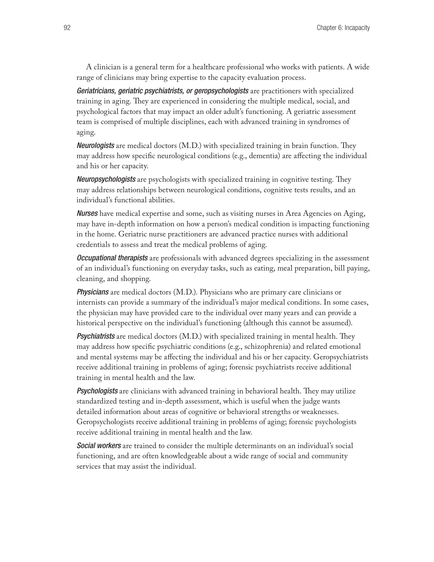A clinician is a general term for a healthcare professional who works with patients. A wide range of clinicians may bring expertise to the capacity evaluation process.

*Geriatricians, geriatric psychiatrists, or geropsychologists* are practitioners with specialized training in aging. They are experienced in considering the multiple medical, social, and psychological factors that may impact an older adult's functioning. A geriatric assessment team is comprised of multiple disciplines, each with advanced training in syndromes of aging.

*Neurologists* are medical doctors (M.D.) with specialized training in brain function. They may address how specific neurological conditions (e.g., dementia) are affecting the individual and his or her capacity.

*Neuropsychologists* are psychologists with specialized training in cognitive testing. They may address relationships between neurological conditions, cognitive tests results, and an individual's functional abilities.

*Nurses* have medical expertise and some, such as visiting nurses in Area Agencies on Aging, may have in-depth information on how a person's medical condition is impacting functioning in the home. Geriatric nurse practitioners are advanced practice nurses with additional credentials to assess and treat the medical problems of aging.

*Occupational therapists* are professionals with advanced degrees specializing in the assessment of an individual's functioning on everyday tasks, such as eating, meal preparation, bill paying, cleaning, and shopping.

*Physicians* are medical doctors (M.D.). Physicians who are primary care clinicians or internists can provide a summary of the individual's major medical conditions. In some cases, the physician may have provided care to the individual over many years and can provide a historical perspective on the individual's functioning (although this cannot be assumed).

*Psychiatrists* are medical doctors (M.D.) with specialized training in mental health. They may address how specific psychiatric conditions (e.g., schizophrenia) and related emotional and mental systems may be affecting the individual and his or her capacity. Geropsychiatrists receive additional training in problems of aging; forensic psychiatrists receive additional training in mental health and the law.

*Psychologists* are clinicians with advanced training in behavioral health. They may utilize standardized testing and in-depth assessment, which is useful when the judge wants detailed information about areas of cognitive or behavioral strengths or weaknesses. Geropsychologists receive additional training in problems of aging; forensic psychologists receive additional training in mental health and the law.

*Social workers* are trained to consider the multiple determinants on an individual's social functioning, and are often knowledgeable about a wide range of social and community services that may assist the individual.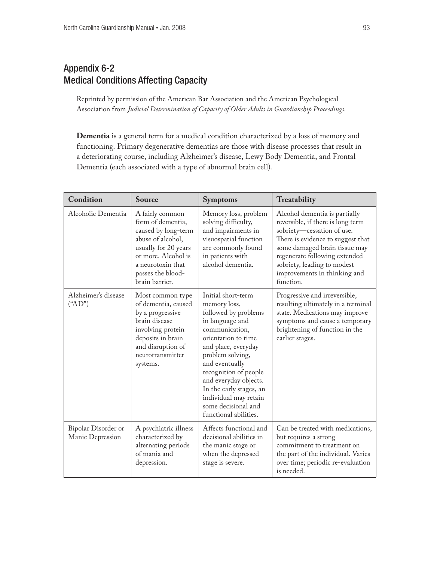# Appendix 6-2 Medical Conditions Affecting Capacity

Reprinted by permission of the American Bar Association and the American Psychological Association from *Judicial Determination of Capacity of Older Adults in Guardianship Proceedings*.

**Dementia** is a general term for a medical condition characterized by a loss of memory and functioning. Primary degenerative dementias are those with disease processes that result in a deteriorating course, including Alzheimer's disease, Lewy Body Dementia, and Frontal Dementia (each associated with a type of abnormal brain cell).

| Condition                               | Source                                                                                                                                                                                      | <b>Symptoms</b>                                                                                                                                                                                                                                                                                                                           | Treatability                                                                                                                                                                                                                                                                        |
|-----------------------------------------|---------------------------------------------------------------------------------------------------------------------------------------------------------------------------------------------|-------------------------------------------------------------------------------------------------------------------------------------------------------------------------------------------------------------------------------------------------------------------------------------------------------------------------------------------|-------------------------------------------------------------------------------------------------------------------------------------------------------------------------------------------------------------------------------------------------------------------------------------|
| Alcoholic Dementia                      | A fairly common<br>form of dementia,<br>caused by long-term<br>abuse of alcohol.<br>usually for 20 years<br>or more. Alcohol is<br>a neurotoxin that<br>passes the blood-<br>brain barrier. | Memory loss, problem<br>solving difficulty,<br>and impairments in<br>visuospatial function<br>are commonly found<br>in patients with<br>alcohol dementia.                                                                                                                                                                                 | Alcohol dementia is partially<br>reversible, if there is long term<br>sobriety-cessation of use.<br>There is evidence to suggest that<br>some damaged brain tissue may<br>regenerate following extended<br>sobriety, leading to modest<br>improvements in thinking and<br>function. |
| Alzheimer's disease<br>$(*AD")$         | Most common type<br>of dementia, caused<br>by a progressive<br>brain disease<br>involving protein<br>deposits in brain<br>and disruption of<br>neurotransmitter<br>systems.                 | Initial short-term<br>memory loss,<br>followed by problems<br>in language and<br>communication,<br>orientation to time<br>and place, everyday<br>problem solving,<br>and eventually<br>recognition of people<br>and everyday objects.<br>In the early stages, an<br>individual may retain<br>some decisional and<br>functional abilities. | Progressive and irreversible,<br>resulting ultimately in a terminal<br>state. Medications may improve<br>symptoms and cause a temporary<br>brightening of function in the<br>earlier stages.                                                                                        |
| Bipolar Disorder or<br>Manic Depression | A psychiatric illness<br>characterized by<br>alternating periods<br>of mania and<br>depression.                                                                                             | Affects functional and<br>decisional abilities in<br>the manic stage or<br>when the depressed<br>stage is severe.                                                                                                                                                                                                                         | Can be treated with medications,<br>but requires a strong<br>commitment to treatment on<br>the part of the individual. Varies<br>over time; periodic re-evaluation<br>is needed.                                                                                                    |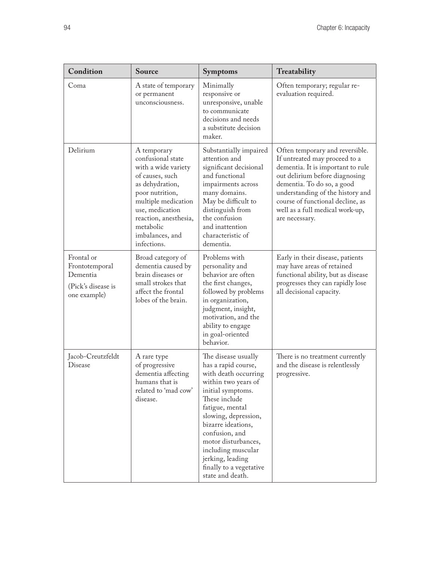| Condition                                                                      | <b>Source</b>                                                                                                                                                                                                                      | <b>Symptoms</b>                                                                                                                                                                                                                                                                                                                    | Treatability                                                                                                                                                                                                                                                                                       |
|--------------------------------------------------------------------------------|------------------------------------------------------------------------------------------------------------------------------------------------------------------------------------------------------------------------------------|------------------------------------------------------------------------------------------------------------------------------------------------------------------------------------------------------------------------------------------------------------------------------------------------------------------------------------|----------------------------------------------------------------------------------------------------------------------------------------------------------------------------------------------------------------------------------------------------------------------------------------------------|
| Coma                                                                           | A state of temporary<br>or permanent<br>unconsciousness.                                                                                                                                                                           | Minimally<br>responsive or<br>unresponsive, unable<br>to communicate<br>decisions and needs<br>a substitute decision<br>maker.                                                                                                                                                                                                     | Often temporary; regular re-<br>evaluation required.                                                                                                                                                                                                                                               |
| Delirium                                                                       | A temporary<br>confusional state<br>with a wide variety<br>of causes, such<br>as dehydration,<br>poor nutrition,<br>multiple medication<br>use, medication<br>reaction, anesthesia,<br>metabolic<br>imbalances, and<br>infections. | Substantially impaired<br>attention and<br>significant decisional<br>and functional<br>impairments across<br>many domains.<br>May be difficult to<br>distinguish from<br>the confusion<br>and inattention<br>characteristic of<br>dementia.                                                                                        | Often temporary and reversible.<br>If untreated may proceed to a<br>dementia. It is important to rule<br>out delirium before diagnosing<br>dementia. To do so, a good<br>understanding of the history and<br>course of functional decline, as<br>well as a full medical work-up,<br>are necessary. |
| Frontal or<br>Frontotemporal<br>Dementia<br>(Pick's disease is<br>one example) | Broad category of<br>dementia caused by<br>brain diseases or<br>small strokes that<br>affect the frontal<br>lobes of the brain.                                                                                                    | Problems with<br>personality and<br>behavior are often<br>the first changes,<br>followed by problems<br>in organization,<br>judgment, insight,<br>motivation, and the<br>ability to engage<br>in goal-oriented<br>behavior.                                                                                                        | Early in their disease, patients<br>may have areas of retained<br>functional ability, but as disease<br>progresses they can rapidly lose<br>all decisional capacity.                                                                                                                               |
| Jacob-Creutzfeldt<br>Disease                                                   | A rare type<br>of progressive<br>dementia affecting<br>humans that is<br>related to 'mad cow'<br>disease.                                                                                                                          | The disease usually<br>has a rapid course,<br>with death occurring<br>within two years of<br>initial symptoms.<br>These include<br>fatigue, mental<br>slowing, depression,<br>bizarre ideations,<br>confusion, and<br>motor disturbances,<br>including muscular<br>jerking, leading<br>finally to a vegetative<br>state and death. | There is no treatment currently<br>and the disease is relentlessly<br>progressive.                                                                                                                                                                                                                 |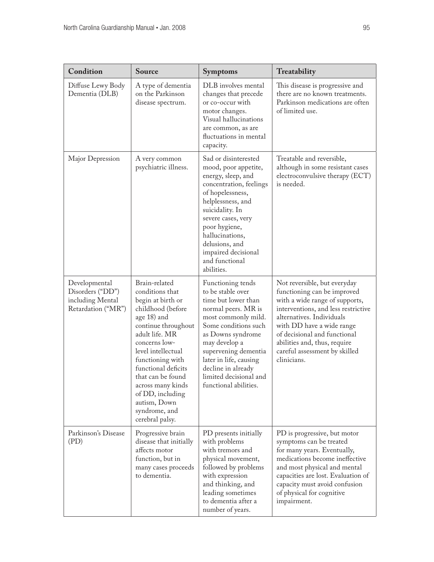| Condition                                                                   | Source                                                                                                                                                                                                                                                                                                                                 | <b>Symptoms</b>                                                                                                                                                                                                                                                                                      | Treatability                                                                                                                                                                                                                                                                                                   |
|-----------------------------------------------------------------------------|----------------------------------------------------------------------------------------------------------------------------------------------------------------------------------------------------------------------------------------------------------------------------------------------------------------------------------------|------------------------------------------------------------------------------------------------------------------------------------------------------------------------------------------------------------------------------------------------------------------------------------------------------|----------------------------------------------------------------------------------------------------------------------------------------------------------------------------------------------------------------------------------------------------------------------------------------------------------------|
| Diffuse Lewy Body<br>Dementia (DLB)                                         | A type of dementia<br>on the Parkinson<br>disease spectrum.                                                                                                                                                                                                                                                                            | DLB involves mental<br>changes that precede<br>or co-occur with<br>motor changes.<br>Visual hallucinations<br>are common, as are<br>fluctuations in mental<br>capacity.                                                                                                                              | This disease is progressive and<br>there are no known treatments.<br>Parkinson medications are often<br>of limited use.                                                                                                                                                                                        |
| Major Depression                                                            | A very common<br>psychiatric illness.                                                                                                                                                                                                                                                                                                  | Sad or disinterested<br>mood, poor appetite,<br>energy, sleep, and<br>concentration, feelings<br>of hopelessness,<br>helplessness, and<br>suicidality. In<br>severe cases, very<br>poor hygiene,<br>hallucinations,<br>delusions, and<br>impaired decisional<br>and functional<br>abilities.         | Treatable and reversible,<br>although in some resistant cases<br>electroconvulsive therapy (ECT)<br>is needed.                                                                                                                                                                                                 |
| Developmental<br>Disorders ("DD")<br>including Mental<br>Retardation ("MR") | Brain-related<br>conditions that<br>begin at birth or<br>childhood (before<br>age 18) and<br>continue throughout<br>adult life. MR<br>concerns low-<br>level intellectual<br>functioning with<br>functional deficits<br>that can be found<br>across many kinds<br>of DD, including<br>autism, Down<br>syndrome, and<br>cerebral palsy. | Functioning tends<br>to be stable over<br>time but lower than<br>normal peers. MR is<br>most commonly mild.<br>Some conditions such<br>as Downs syndrome<br>may develop a<br>supervening dementia<br>later in life, causing<br>decline in already<br>limited decisional and<br>functional abilities. | Not reversible, but everyday<br>functioning can be improved<br>with a wide range of supports,<br>interventions, and less restrictive<br>alternatives. Individuals<br>with DD have a wide range<br>of decisional and functional<br>abilities and, thus, require<br>careful assessment by skilled<br>clinicians. |
| Parkinson's Disease<br>(PD)                                                 | Progressive brain<br>disease that initially<br>affects motor<br>function, but in<br>many cases proceeds<br>to dementia.                                                                                                                                                                                                                | PD presents initially<br>with problems<br>with tremors and<br>physical movement,<br>followed by problems<br>with expression<br>and thinking, and<br>leading sometimes<br>to dementia after a<br>number of years.                                                                                     | PD is progressive, but motor<br>symptoms can be treated<br>for many years. Eventually,<br>medications become ineffective<br>and most physical and mental<br>capacities are lost. Evaluation of<br>capacity must avoid confusion<br>of physical for cognitive<br>impairment.                                    |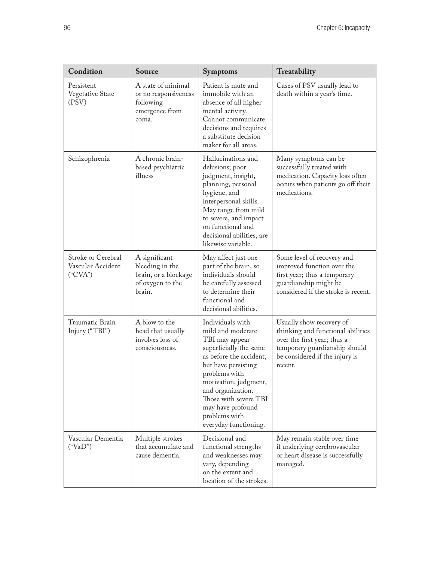| Condition                                                | Source                                                                                 | <b>Symptoms</b>                                                                                                                                                                                                                                                                            | Treatability                                                                                                                                                               |
|----------------------------------------------------------|----------------------------------------------------------------------------------------|--------------------------------------------------------------------------------------------------------------------------------------------------------------------------------------------------------------------------------------------------------------------------------------------|----------------------------------------------------------------------------------------------------------------------------------------------------------------------------|
| Persistent<br>Vegetative State<br>(PSV)                  | A state of minimal<br>or no responsiveness<br>following<br>emergence from<br>coma.     | Patient is mute and<br>immobile with an<br>absence of all higher<br>mental activity.<br>Cannot communicate<br>decisions and requires<br>a substitute decision<br>maker for all areas.                                                                                                      | Cases of PSV usually lead to<br>death within a year's time.                                                                                                                |
| Schizophrenia                                            | A chronic brain-<br>based psychiatric<br>illness                                       | Hallucinations and<br>delusions; poor<br>judgment, insight,<br>planning, personal<br>hygiene, and<br>interpersonal skills.<br>May range from mild<br>to severe, and impact<br>on functional and<br>decisional abilities, are<br>likewise variable.                                         | Many symptoms can be<br>successfully treated with<br>medication. Capacity loss often<br>occurs when patients go off their<br>medications.                                  |
| Stroke or Cerebral<br>Vascular Accident<br>$($ "CVA" $)$ | A significant<br>bleeding in the<br>brain, or a blockage<br>of oxygen to the<br>brain. | May affect just one<br>part of the brain, so<br>individuals should<br>be carefully assessed<br>to determine their<br>functional and<br>decisional abilities.                                                                                                                               | Some level of recovery and<br>improved function over the<br>first year; thus a temporary<br>guardianship might be<br>considered if the stroke is recent.                   |
| Traumatic Brain<br>Injury ("TBI")                        | A blow to the<br>head that usually<br>involves loss of<br>consciousness.               | Individuals with<br>mild and moderate<br>TBI may appear<br>superficially the same<br>as before the accident,<br>but have persisting<br>problems with<br>motivation, judgment,<br>and organization.<br>Those with severe TBI<br>may have profound<br>problems with<br>everyday functioning. | Usually show recovery of<br>thinking and functional abilities<br>over the first year; thus a<br>temporary guardianship should<br>be considered if the injury is<br>recent. |
| Vascular Dementia<br>("VaD")                             | Multiple strokes<br>that accumulate and<br>cause dementia.                             | Decisional and<br>functional strengths<br>and weaknesses may<br>vary, depending<br>on the extent and<br>location of the strokes.                                                                                                                                                           | May remain stable over time<br>if underlying cerebrovascular<br>or heart disease is successfully<br>managed.                                                               |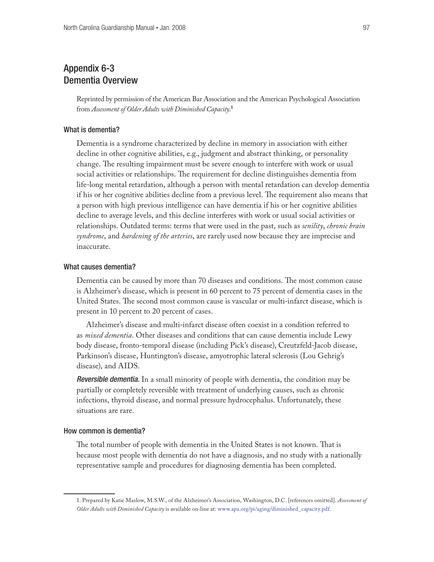# Appendix 6-3 Dementia Overview

Reprinted by permission of the American Bar Association and the American Psychological Association from *Assessment of Older Adults with Diminished Capacity*. **1**

### What is dementia?

Dementia is a syndrome characterized by decline in memory in association with either decline in other cognitive abilities, e.g., judgment and abstract thinking, or personality change. The resulting impairment must be severe enough to interfere with work or usual social activities or relationships. The requirement for decline distinguishes dementia from life-long mental retardation, although a person with mental retardation can develop dementia if his or her cognitive abilities decline from a previous level. The requirement also means that a person with high previous intelligence can have dementia if his or her cognitive abilities decline to average levels, and this decline interferes with work or usual social activities or relationships. Outdated terms: terms that were used in the past, such as *senility*, *chronic brain syndrome*, and *hardening of the arteries*, are rarely used now because they are imprecise and inaccurate.

### What causes dementia?

Dementia can be caused by more than 70 diseases and conditions. The most common cause is Alzheimer's disease, which is present in 60 percent to 75 percent of dementia cases in the United States. The second most common cause is vascular or multi-infarct disease, which is present in 10 percent to 20 percent of cases.

Alzheimer's disease and multi-infarct disease often coexist in a condition referred to as *mixed dementia*. Other diseases and conditions that can cause dementia include Lewy body disease, fronto-temporal disease (including Pick's disease), Creutzfeld-Jacob disease, Parkinson's disease, Huntington's disease, amyotrophic lateral sclerosis (Lou Gehrig's disease), and AIDS.

*Reversible dementia.* In a small minority of people with dementia, the condition may be partially or completely reversible with treatment of underlying causes, such as chronic infections, thyroid disease, and normal pressure hydrocephalus. Unfortunately, these situations are rare.

#### How common is dementia?

The total number of people with dementia in the United States is not known. That is because most people with dementia do not have a diagnosis, and no study with a nationally representative sample and procedures for diagnosing dementia has been completed.

<sup>1.</sup> Prepared by Katie Maslow, M.S.W., of the Alzheimer's Association, Washington, D.C. [references omitted]. *Assessment of Older Adults with Diminished Capacity* is available on-line at: [www.apa.org/pi/aging/diminished\\_capacity.pdf](http://www.apa.org/pi/aging/diminished_capacity.pdf).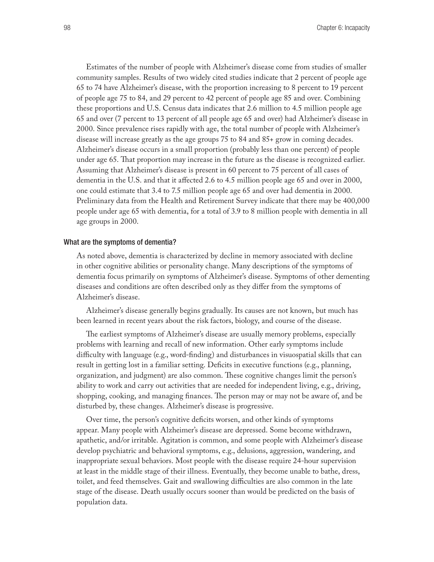Estimates of the number of people with Alzheimer's disease come from studies of smaller community samples. Results of two widely cited studies indicate that 2 percent of people age 65 to 74 have Alzheimer's disease, with the proportion increasing to 8 percent to 19 percent of people age 75 to 84, and 29 percent to 42 percent of people age 85 and over. Combining these proportions and U.S. Census data indicates that 2.6 million to 4.5 million people age 65 and over (7 percent to 13 percent of all people age 65 and over) had Alzheimer's disease in 2000. Since prevalence rises rapidly with age, the total number of people with Alzheimer's disease will increase greatly as the age groups 75 to 84 and 85+ grow in coming decades. Alzheimer's disease occurs in a small proportion (probably less than one percent) of people under age 65. That proportion may increase in the future as the disease is recognized earlier. Assuming that Alzheimer's disease is present in 60 percent to 75 percent of all cases of dementia in the U.S. and that it affected 2.6 to 4.5 million people age 65 and over in 2000, one could estimate that 3.4 to 7.5 million people age 65 and over had dementia in 2000. Preliminary data from the Health and Retirement Survey indicate that there may be 400,000 people under age 65 with dementia, for a total of 3.9 to 8 million people with dementia in all age groups in 2000.

#### What are the symptoms of dementia?

As noted above, dementia is characterized by decline in memory associated with decline in other cognitive abilities or personality change. Many descriptions of the symptoms of dementia focus primarily on symptoms of Alzheimer's disease. Symptoms of other dementing diseases and conditions are often described only as they differ from the symptoms of Alzheimer's disease.

Alzheimer's disease generally begins gradually. Its causes are not known, but much has been learned in recent years about the risk factors, biology, and course of the disease.

The earliest symptoms of Alzheimer's disease are usually memory problems, especially problems with learning and recall of new information. Other early symptoms include difficulty with language (e.g., word-finding) and disturbances in visuospatial skills that can result in getting lost in a familiar setting. Deficits in executive functions (e.g., planning, organization, and judgment) are also common. These cognitive changes limit the person's ability to work and carry out activities that are needed for independent living, e.g., driving, shopping, cooking, and managing finances. The person may or may not be aware of, and be disturbed by, these changes. Alzheimer's disease is progressive.

Over time, the person's cognitive deficits worsen, and other kinds of symptoms appear. Many people with Alzheimer's disease are depressed. Some become withdrawn, apathetic, and/or irritable. Agitation is common, and some people with Alzheimer's disease develop psychiatric and behavioral symptoms, e.g., delusions, aggression, wandering, and inappropriate sexual behaviors. Most people with the disease require 24-hour supervision at least in the middle stage of their illness. Eventually, they become unable to bathe, dress, toilet, and feed themselves. Gait and swallowing difficulties are also common in the late stage of the disease. Death usually occurs sooner than would be predicted on the basis of population data.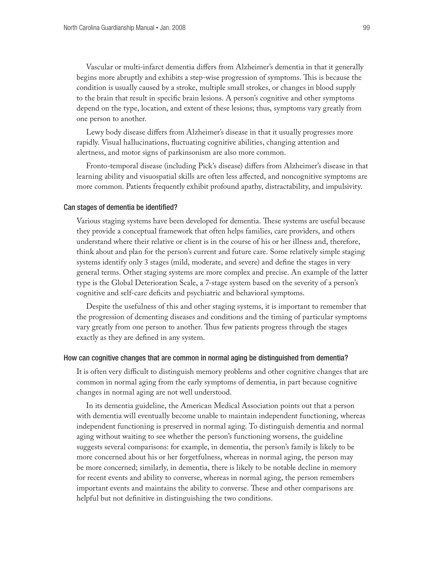Vascular or multi-infarct dementia differs from Alzheimer's dementia in that it generally begins more abruptly and exhibits a step-wise progression of symptoms. This is because the condition is usually caused by a stroke, multiple small strokes, or changes in blood supply to the brain that result in specific brain lesions. A person's cognitive and other symptoms depend on the type, location, and extent of these lesions; thus, symptoms vary greatly from one person to another.

Lewy body disease differs from Alzheimer's disease in that it usually progresses more rapidly. Visual hallucinations, fluctuating cognitive abilities, changing attention and alertness, and motor signs of parkinsonism are also more common.

Fronto-temporal disease (including Pick's disease) differs from Alzheimer's disease in that learning ability and visuospatial skills are often less affected, and noncognitive symptoms are more common. Patients frequently exhibit profound apathy, distractability, and impulsivity.

#### Can stages of dementia be identified?

Various staging systems have been developed for dementia. These systems are useful because they provide a conceptual framework that often helps families, care providers, and others understand where their relative or client is in the course of his or her illness and, therefore, think about and plan for the person's current and future care. Some relatively simple staging systems identify only 3 stages (mild, moderate, and severe) and define the stages in very general terms. Other staging systems are more complex and precise. An example of the latter type is the Global Deterioration Scale, a 7-stage system based on the severity of a person's cognitive and self-care deficits and psychiatric and behavioral symptoms.

Despite the usefulness of this and other staging systems, it is important to remember that the progression of dementing diseases and conditions and the timing of particular symptoms vary greatly from one person to another. Thus few patients progress through the stages exactly as they are defined in any system.

#### How can cognitive changes that are common in normal aging be distinguished from dementia?

It is often very difficult to distinguish memory problems and other cognitive changes that are common in normal aging from the early symptoms of dementia, in part because cognitive changes in normal aging are not well understood.

In its dementia guideline, the American Medical Association points out that a person with dementia will eventually become unable to maintain independent functioning, whereas independent functioning is preserved in normal aging. To distinguish dementia and normal aging without waiting to see whether the person's functioning worsens, the guideline suggests several comparisons: for example, in dementia, the person's family is likely to be more concerned about his or her forgetfulness, whereas in normal aging, the person may be more concerned; similarly, in dementia, there is likely to be notable decline in memory for recent events and ability to converse, whereas in normal aging, the person remembers important events and maintains the ability to converse. These and other comparisons are helpful but not definitive in distinguishing the two conditions.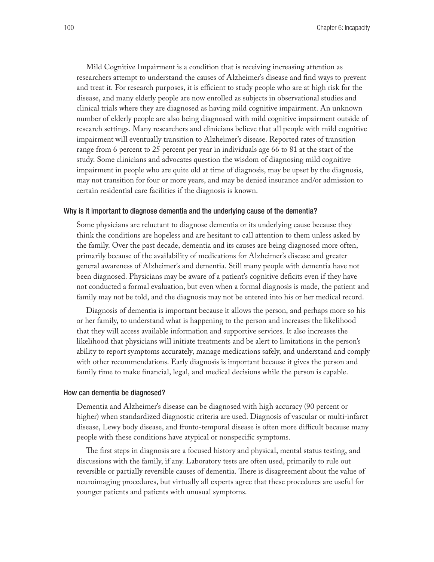Mild Cognitive Impairment is a condition that is receiving increasing attention as researchers attempt to understand the causes of Alzheimer's disease and find ways to prevent and treat it. For research purposes, it is efficient to study people who are at high risk for the disease, and many elderly people are now enrolled as subjects in observational studies and clinical trials where they are diagnosed as having mild cognitive impairment. An unknown number of elderly people are also being diagnosed with mild cognitive impairment outside of research settings. Many researchers and clinicians believe that all people with mild cognitive impairment will eventually transition to Alzheimer's disease. Reported rates of transition range from 6 percent to 25 percent per year in individuals age 66 to 81 at the start of the study. Some clinicians and advocates question the wisdom of diagnosing mild cognitive impairment in people who are quite old at time of diagnosis, may be upset by the diagnosis, may not transition for four or more years, and may be denied insurance and/or admission to certain residential care facilities if the diagnosis is known.

#### Why is it important to diagnose dementia and the underlying cause of the dementia?

Some physicians are reluctant to diagnose dementia or its underlying cause because they think the conditions are hopeless and are hesitant to call attention to them unless asked by the family. Over the past decade, dementia and its causes are being diagnosed more often, primarily because of the availability of medications for Alzheimer's disease and greater general awareness of Alzheimer's and dementia. Still many people with dementia have not been diagnosed. Physicians may be aware of a patient's cognitive deficits even if they have not conducted a formal evaluation, but even when a formal diagnosis is made, the patient and family may not be told, and the diagnosis may not be entered into his or her medical record.

Diagnosis of dementia is important because it allows the person, and perhaps more so his or her family, to understand what is happening to the person and increases the likelihood that they will access available information and supportive services. It also increases the likelihood that physicians will initiate treatments and be alert to limitations in the person's ability to report symptoms accurately, manage medications safely, and understand and comply with other recommendations. Early diagnosis is important because it gives the person and family time to make financial, legal, and medical decisions while the person is capable.

#### How can dementia be diagnosed?

Dementia and Alzheimer's disease can be diagnosed with high accuracy (90 percent or higher) when standardized diagnostic criteria are used. Diagnosis of vascular or multi-infarct disease, Lewy body disease, and fronto-temporal disease is often more difficult because many people with these conditions have atypical or nonspecific symptoms.

The first steps in diagnosis are a focused history and physical, mental status testing, and discussions with the family, if any. Laboratory tests are often used, primarily to rule out reversible or partially reversible causes of dementia. There is disagreement about the value of neuroimaging procedures, but virtually all experts agree that these procedures are useful for younger patients and patients with unusual symptoms.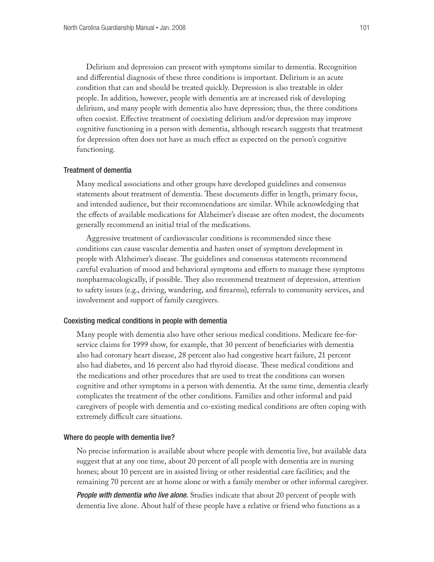Delirium and depression can present with symptoms similar to dementia. Recognition and differential diagnosis of these three conditions is important. Delirium is an acute condition that can and should be treated quickly. Depression is also treatable in older people. In addition, however, people with dementia are at increased risk of developing delirium, and many people with dementia also have depression; thus, the three conditions often coexist. Effective treatment of coexisting delirium and/or depression may improve cognitive functioning in a person with dementia, although research suggests that treatment for depression often does not have as much effect as expected on the person's cognitive functioning.

#### Treatment of dementia

Many medical associations and other groups have developed guidelines and consensus statements about treatment of dementia. These documents differ in length, primary focus, and intended audience, but their recommendations are similar. While acknowledging that the effects of available medications for Alzheimer's disease are often modest, the documents generally recommend an initial trial of the medications.

Aggressive treatment of cardiovascular conditions is recommended since these conditions can cause vascular dementia and hasten onset of symptom development in people with Alzheimer's disease. The guidelines and consensus statements recommend careful evaluation of mood and behavioral symptoms and efforts to manage these symptoms nonpharmacologically, if possible. They also recommend treatment of depression, attention to safety issues (e.g., driving, wandering, and firearms), referrals to community services, and involvement and support of family caregivers.

### Coexisting medical conditions in people with dementia

Many people with dementia also have other serious medical conditions. Medicare fee-forservice claims for 1999 show, for example, that 30 percent of beneficiaries with dementia also had coronary heart disease, 28 percent also had congestive heart failure, 21 percent also had diabetes, and 16 percent also had thyroid disease. These medical conditions and the medications and other procedures that are used to treat the conditions can worsen cognitive and other symptoms in a person with dementia. At the same time, dementia clearly complicates the treatment of the other conditions. Families and other informal and paid caregivers of people with dementia and co-existing medical conditions are often coping with extremely difficult care situations.

### Where do people with dementia live?

No precise information is available about where people with dementia live, but available data suggest that at any one time, about 20 percent of all people with dementia are in nursing homes; about 10 percent are in assisted living or other residential care facilities; and the remaining 70 percent are at home alone or with a family member or other informal caregiver.

*People with dementia who live alone.* Studies indicate that about 20 percent of people with dementia live alone. About half of these people have a relative or friend who functions as a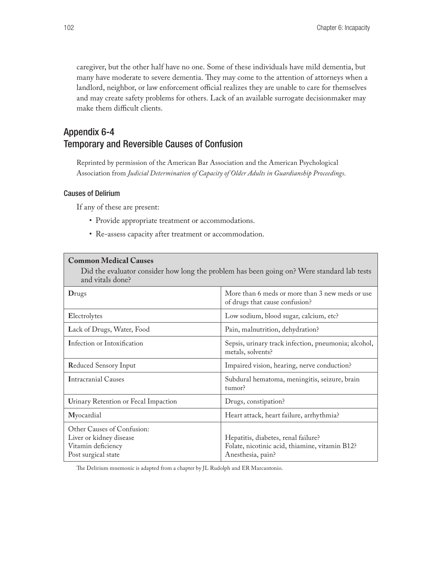caregiver, but the other half have no one. Some of these individuals have mild dementia, but many have moderate to severe dementia. They may come to the attention of attorneys when a landlord, neighbor, or law enforcement official realizes they are unable to care for themselves and may create safety problems for others. Lack of an available surrogate decisionmaker may make them difficult clients.

# Appendix 6-4 Temporary and Reversible Causes of Confusion

Reprinted by permission of the American Bar Association and the American Psychological Association from *Judicial Determination of Capacity of Older Adults in Guardianship Proceedings*.

### Causes of Delirium

If any of these are present:

**Common Medical Causes** 

- • Provide appropriate treatment or accommodations.
- • Re-assess capacity after treatment or accommodation.

| Common McGical Causes<br>and vitals done?                                                          | Did the evaluator consider how long the problem has been going on? Were standard lab tests                 |
|----------------------------------------------------------------------------------------------------|------------------------------------------------------------------------------------------------------------|
| Drugs                                                                                              | More than 6 meds or more than 3 new meds or use<br>of drugs that cause confusion?                          |
| Electrolytes                                                                                       | Low sodium, blood sugar, calcium, etc?                                                                     |
| Lack of Drugs, Water, Food                                                                         | Pain, malnutrition, dehydration?                                                                           |
| Infection or Intoxification                                                                        | Sepsis, urinary track infection, pneumonia; alcohol,<br>metals, solvents?                                  |
| <b>Reduced Sensory Input</b>                                                                       | Impaired vision, hearing, nerve conduction?                                                                |
| <b>Intracranial Causes</b>                                                                         | Subdural hematoma, meningitis, seizure, brain<br>tumor?                                                    |
| Urinary Retention or Fecal Impaction                                                               | Drugs, constipation?                                                                                       |
| Myocardial                                                                                         | Heart attack, heart failure, arrhythmia?                                                                   |
| Other Causes of Confusion:<br>Liver or kidney disease<br>Vitamin deficiency<br>Post surgical state | Hepatitis, diabetes, renal failure?<br>Folate, nicotinic acid, thiamine, vitamin B12?<br>Anesthesia, pain? |

The Delirium mnemonic is adapted from a chapter by JL Rudolph and ER Marcantonio.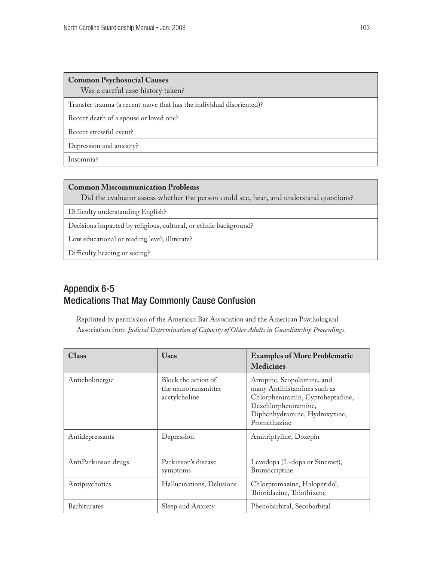### **Common Psychosocial Causes**

Was a careful case history taken?

Transfer trauma (a recent move that has the individual disoriented)?

Recent death of a spouse or loved one?

Recent stressful event?

Depression and anxiety?

Insomnia?

### **Common Miscommunication Problems**

Did the evaluator assess whether the person could see, hear, and understand questions?

Difficulty understanding English?

Decisions impacted by religious, cultural, or ethnic background?

Low educational or reading level; illiterate?

Difficulty hearing or seeing?

# Appendix 6-5 Medications That May Commonly Cause Confusion

Reprinted by permission of the American Bar Association and the American Psychological Association from *Judicial Determination of Capacity of Older Adults in Guardianship Proceedings*.

| <b>Class</b>        | <b>Uses</b>                                                  | <b>Examples of More Problematic</b><br><b>Medicines</b>                                                                                                                |
|---------------------|--------------------------------------------------------------|------------------------------------------------------------------------------------------------------------------------------------------------------------------------|
| Anticholinergic     | Block the action of<br>the neurotransmitter<br>acetylcholine | Atropine, Scopolamine, and<br>many Antihistamines such as<br>Chlorpheniramin, Cyproheptadine,<br>Dexchlorpheniramine,<br>Diphenhydramine, Hydroxyzine,<br>Promethazine |
| Antidepressants     | Depression                                                   | Amitriptyline, Doxepin                                                                                                                                                 |
| AntiParkinson drugs | Parkinson's disease<br>symptoms                              | Levodopa (L-dopa or Sinemet),<br>Bromocriptine                                                                                                                         |
| Antipsychotics      | Hallucinations, Delusions                                    | Chlorpromazine, Haloperidol,<br>Thioridazine, Thiothixene                                                                                                              |
| <b>Barbiturates</b> | Sleep and Anxiety                                            | Phenobarbital, Secobarbital                                                                                                                                            |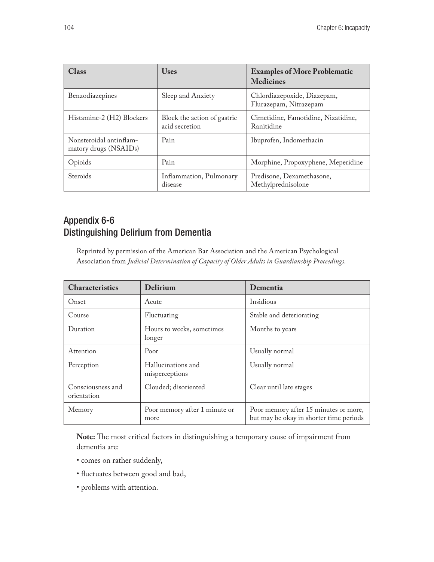| Class                                            | <b>Uses</b>                                   | <b>Examples of More Problematic</b><br><b>Medicines</b> |
|--------------------------------------------------|-----------------------------------------------|---------------------------------------------------------|
| Benzodiazepines                                  | Sleep and Anxiety                             | Chlordiazepoxide, Diazepam,<br>Flurazepam, Nitrazepam   |
| Histamine-2 (H2) Blockers                        | Block the action of gastric<br>acid secretion | Cimetidine, Famotidine, Nizatidine,<br>Ranitidine       |
| Nonsteroidal antinflam-<br>matory drugs (NSAIDs) | Pain                                          | Ibuprofen, Indomethacin                                 |
| Opioids                                          | Pain                                          | Morphine, Propoxyphene, Meperidine                      |
| <b>Steroids</b>                                  | Inflammation, Pulmonary<br>disease            | Predisone, Dexamethasone,<br>Methylprednisolone         |

# Appendix 6-6 Distinguishing Delirium from Dementia

Reprinted by permission of the American Bar Association and the American Psychological Association from *Judicial Determination of Capacity of Older Adults in Guardianship Proceedings*.

| <b>Characteristics</b>           | <b>Delirium</b>                       | Dementia                                                                         |
|----------------------------------|---------------------------------------|----------------------------------------------------------------------------------|
| Onset                            | Acute                                 | Insidious                                                                        |
| Course                           | Fluctuating                           | Stable and deteriorating                                                         |
| Duration                         | Hours to weeks, sometimes<br>longer   | Months to years                                                                  |
| Attention                        | Poor                                  | Usually normal                                                                   |
| Perception                       | Hallucinations and<br>misperceptions  | Usually normal                                                                   |
| Consciousness and<br>orientation | Clouded; disoriented                  | Clear until late stages                                                          |
| Memory                           | Poor memory after 1 minute or<br>more | Poor memory after 15 minutes or more,<br>but may be okay in shorter time periods |

**Note:** The most critical factors in distinguishing a temporary cause of impairment from dementia are:

- comes on rather suddenly,
- fluctuates between good and bad,
- problems with attention.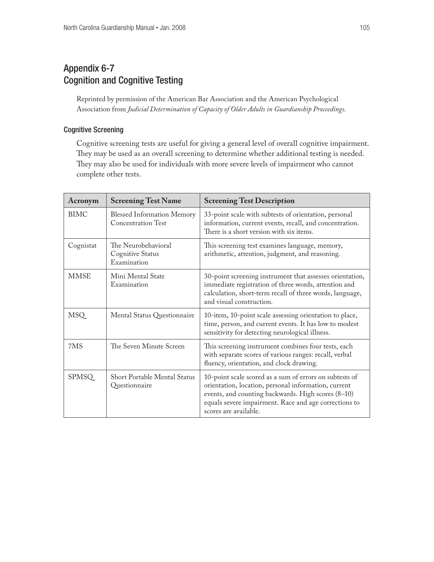# Appendix 6-7 Cognition and Cognitive Testing

Reprinted by permission of the American Bar Association and the American Psychological Association from *Judicial Determination of Capacity of Older Adults in Guardianship Proceedings*.

### Cognitive Screening

Cognitive screening tests are useful for giving a general level of overall cognitive impairment. They may be used as an overall screening to determine whether additional testing is needed. They may also be used for individuals with more severe levels of impairment who cannot complete other tests.

| Acronym      | <b>Screening Test Name</b>                              | <b>Screening Test Description</b>                                                                                                                                                                                                                       |
|--------------|---------------------------------------------------------|---------------------------------------------------------------------------------------------------------------------------------------------------------------------------------------------------------------------------------------------------------|
| <b>BIMC</b>  | <b>Blessed Information Memory</b><br>Concentration Test | 33-point scale with subtests of orientation, personal<br>information, current events, recall, and concentration.<br>There is a short version with six items.                                                                                            |
| Cognistat    | The Neurobehavioral<br>Cognitive Status<br>Examination  | This screening test examines language, memory,<br>arithmetic, attention, judgment, and reasoning.                                                                                                                                                       |
| <b>MMSE</b>  | Mini Mental State<br>Examination                        | 30-point screening instrument that assesses orientation,<br>immediate registration of three words, attention and<br>calculation, short-term recall of three words, language,<br>and visual construction.                                                |
| <b>MSQ</b>   | Mental Status Questionnaire                             | 10-item, 10-point scale assessing orientation to place,<br>time, person, and current events. It has low to modest<br>sensitivity for detecting neurological illness.                                                                                    |
| 7MS          | The Seven Minute Screen                                 | This screening instrument combines four tests, each<br>with separate scores of various ranges: recall, verbal<br>fluency, orientation, and clock drawing.                                                                                               |
| <b>SPMSQ</b> | <b>Short Portable Mental Status</b><br>Questionnaire    | 10-point scale scored as a sum of errors on subtests of<br>orientation, location, personal information, current<br>events, and counting backwards. High scores (8-10)<br>equals severe impairment. Race and age corrections to<br>scores are available. |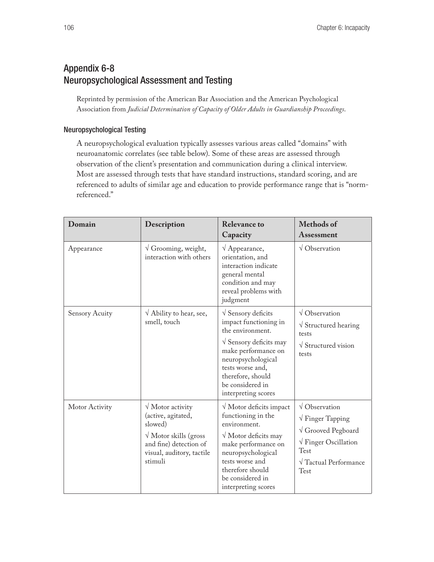# Appendix 6-8 Neuropsychological Assessment and Testing

Reprinted by permission of the American Bar Association and the American Psychological Association from *Judicial Determination of Capacity of Older Adults in Guardianship Proceedings*.

### Neuropsychological Testing

A neuropsychological evaluation typically assesses various areas called "domains" with neuroanatomic correlates (see table below). Some of these areas are assessed through observation of the client's presentation and communication during a clinical interview. Most are assessed through tests that have standard instructions, standard scoring, and are referenced to adults of similar age and education to provide performance range that is "normreferenced."

| Domain                | Description                                                                                                                                                               | <b>Relevance to</b><br>Capacity                                                                                                                                                                                                                         | Methods of<br><b>Assessment</b>                                                                                                                                                           |
|-----------------------|---------------------------------------------------------------------------------------------------------------------------------------------------------------------------|---------------------------------------------------------------------------------------------------------------------------------------------------------------------------------------------------------------------------------------------------------|-------------------------------------------------------------------------------------------------------------------------------------------------------------------------------------------|
| Appearance            | $\sqrt{G}$ Grooming, weight,<br>interaction with others                                                                                                                   | $\sqrt{A}$ ppearance,<br>orientation, and<br>interaction indicate<br>general mental<br>condition and may<br>reveal problems with<br>judgment                                                                                                            | $\sqrt{\text{Observation}}$                                                                                                                                                               |
| <b>Sensory Acuity</b> | $\sqrt{\text{Ablity}}$ to hear, see,<br>smell, touch                                                                                                                      | $\sqrt{\ }$ Sensory deficits<br>impact functioning in<br>the environment.<br>$\sqrt{\frac{1}{2}}$ Sensory deficits may<br>make performance on<br>neuropsychological<br>tests worse and,<br>therefore, should<br>be considered in<br>interpreting scores | $\sqrt{\text{Observation}}$<br>$\sqrt{\frac{1}{2}}$ Structured hearing<br>tests<br>$\sqrt{\frac{1}{100}}$ Structured vision<br>tests                                                      |
| Motor Activity        | $\sqrt{\text{Motor activity}}$<br>(active, agitated,<br>slowed)<br>$\sqrt{\text{Motor skills}}$ (gross)<br>and fine) detection of<br>visual, auditory, tactile<br>stimuli | $\sqrt{\text{Motor}}$ deficits impact<br>functioning in the<br>environment.<br>$\sqrt{\text{Motor}}$ deficits may<br>make performance on<br>neuropsychological<br>tests worse and<br>therefore should<br>be considered in<br>interpreting scores        | $\sqrt{\text{Observation}}$<br>$\sqrt{\text{Finger Tapping}}$<br>$\sqrt{G}$ Grooved Pegboard<br>$\sqrt{\text{Finger Oscillation}}$<br>Test<br>$\sqrt{\text{Tactual Performance}}$<br>Test |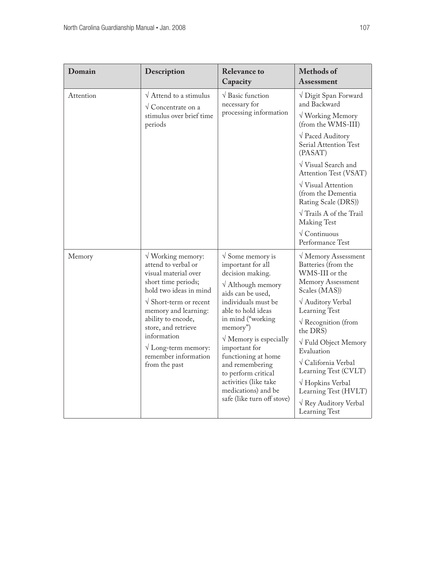| Domain    | Description                                                                                                                                                                                                                                                                                                                          | <b>Relevance to</b><br>Capacity                                                                                                                                                                                                                                                                                                                                                                                  | <b>Methods of</b><br>Assessment                                                                                                                                                                                                                                                                                                                                                                                                  |
|-----------|--------------------------------------------------------------------------------------------------------------------------------------------------------------------------------------------------------------------------------------------------------------------------------------------------------------------------------------|------------------------------------------------------------------------------------------------------------------------------------------------------------------------------------------------------------------------------------------------------------------------------------------------------------------------------------------------------------------------------------------------------------------|----------------------------------------------------------------------------------------------------------------------------------------------------------------------------------------------------------------------------------------------------------------------------------------------------------------------------------------------------------------------------------------------------------------------------------|
| Attention | $\sqrt{\frac{1}{1}}$ Attend to a stimulus<br>$\sqrt{\text{Concentrate}}$ on a<br>stimulus over brief time<br>periods                                                                                                                                                                                                                 | $\sqrt{\phantom{a}}$ Basic function<br>necessary for<br>processing information                                                                                                                                                                                                                                                                                                                                   | √ Digit Span Forward<br>and Backward<br>$\sqrt{\text{Working Memory}}$<br>(from the WMS-III)<br>$\sqrt{\text{Paced}}$ Auditory<br>Serial Attention Test<br>(PASAT)<br>$\sqrt{\frac{1}{1}}$ Visual Search and<br>Attention Test (VSAT)<br>$\sqrt{\frac{1}{1}}$ Visual Attention<br>(from the Dementia<br>Rating Scale (DRS))<br>$\sqrt{T}$ Trails A of the Trail<br>Making Test<br>$\sqrt{\text{Continuous}}$<br>Performance Test |
| Memory    | $\sqrt{\text{Working memory}}$ :<br>attend to verbal or<br>visual material over<br>short time periods;<br>hold two ideas in mind<br>$\sqrt{\text{Short-term or recent}}$<br>memory and learning:<br>ability to encode,<br>store, and retrieve<br>information<br>$\sqrt{}$ Long-term memory:<br>remember information<br>from the past | $\sqrt{S}$ Some memory is<br>important for all<br>decision making.<br>$\sqrt{\text{Although memory}}$<br>aids can be used,<br>individuals must be<br>able to hold ideas<br>in mind ("working<br>memory")<br>$\sqrt{\text{Memory}}$ is especially<br>important for<br>functioning at home<br>and remembering<br>to perform critical<br>activities (like take<br>medications) and be<br>safe (like turn off stove) | $\sqrt{M}$ Memory Assessment<br>Batteries (from the<br>WMS-III or the<br>Memory Assessment<br>Scales (MAS))<br>√ Auditory Verbal<br>Learning Test<br>$\sqrt{\text{Recognition (from)}}$<br>the DRS)<br>$\sqrt{\text{Fuld Object Memory}}$<br>Evaluation<br>√ California Verbal<br>Learning Test (CVLT)<br>√ Hopkins Verbal<br>Learning Test (HVLT)<br>√ Rey Auditory Verbal<br>Learning Test                                     |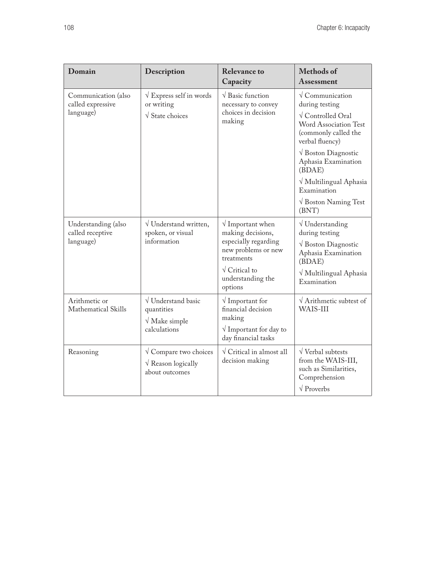| Domain                                                | Description                                                                               | <b>Relevance to</b><br>Capacity                                                                                                                                                 | <b>Methods</b> of<br>Assessment                                                                                                                                                                                                      |
|-------------------------------------------------------|-------------------------------------------------------------------------------------------|---------------------------------------------------------------------------------------------------------------------------------------------------------------------------------|--------------------------------------------------------------------------------------------------------------------------------------------------------------------------------------------------------------------------------------|
| Communication (also<br>called expressive<br>language) | $\sqrt{\text{Express self in words}}$<br>or writing<br>$\sqrt{\frac{1}{1}}$ State choices | $\sqrt{\frac{1}{2}}$ Basic function<br>necessary to convey<br>choices in decision<br>making                                                                                     | $\sqrt{\text{Communication}}$<br>during testing<br>$\sqrt{\rm$ Controlled Oral<br><b>Word Association Test</b><br>(commonly called the<br>verbal fluency)<br>$\sqrt{\frac{1}{2}}$ Boston Diagnostic<br>Aphasia Examination<br>(BDAE) |
|                                                       |                                                                                           |                                                                                                                                                                                 | √ Multilingual Aphasia<br>Examination<br>$\sqrt{\frac{1}{1}}$ Boston Naming Test<br>(BNT)                                                                                                                                            |
| Understanding (also<br>called receptive<br>language)  | $\sqrt{}$ Understand written,<br>spoken, or visual<br>information                         | $\sqrt{}$ Important when<br>making decisions,<br>especially regarding<br>new problems or new<br>treatments<br>$\sqrt{\frac{1}{10}}$ Critical to<br>understanding the<br>options | $\sqrt{}$ Understanding<br>during testing<br>$\sqrt{\text{Boston Diagnostic}}$<br>Aphasia Examination<br>(BDAE)<br>√ Multilingual Aphasia<br>Examination                                                                             |
| Arithmetic or<br>Mathematical Skills                  | $\sqrt{}$ Understand basic<br>quantities<br>$\sqrt{\text{Make simple}}$<br>calculations   | $\sqrt{}$ Important for<br>financial decision<br>making<br>$\sqrt{}$ Important for day to<br>day financial tasks                                                                | $\sqrt{\text{Arithmetic}}$ subtest of<br>WAIS-III                                                                                                                                                                                    |
| Reasoning                                             | $\sqrt{\text{Compare two choices}}$<br>$\sqrt{\text{Reason logically}}$<br>about outcomes | $\sqrt{\text{Critical in almost all}}$<br>decision making                                                                                                                       | $\sqrt{\text{Verbal}}$ subtests<br>from the WAIS-III,<br>such as Similarities,<br>Comprehension<br>$\sqrt{\text{Proverbs}}$                                                                                                          |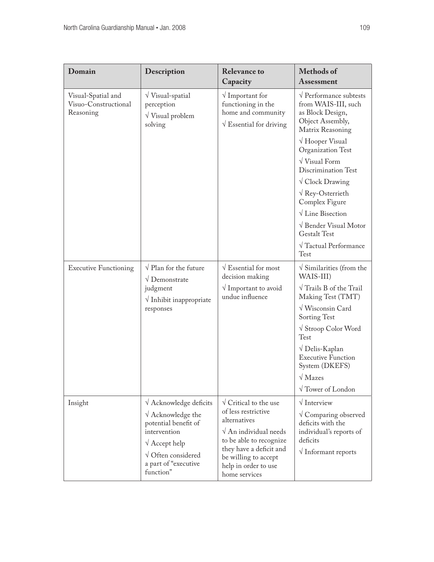| Domain                                                  | Description                                                                                                                                                                                                        | <b>Relevance to</b><br>Capacity                                                                                                                                                                                                         | <b>Methods of</b><br><b>Assessment</b>                                                                                                                                                                                                                                                                                                                                                                                                                 |
|---------------------------------------------------------|--------------------------------------------------------------------------------------------------------------------------------------------------------------------------------------------------------------------|-----------------------------------------------------------------------------------------------------------------------------------------------------------------------------------------------------------------------------------------|--------------------------------------------------------------------------------------------------------------------------------------------------------------------------------------------------------------------------------------------------------------------------------------------------------------------------------------------------------------------------------------------------------------------------------------------------------|
| Visual-Spatial and<br>Visuo-Constructional<br>Reasoning | $\sqrt{\frac{1}{1}}$ Visual-spatial<br>perception<br>$\sqrt{\frac{1}{1}}$ Visual problem<br>solving                                                                                                                | $\sqrt{}$ Important for<br>functioning in the<br>home and community<br>$\sqrt{\text{Essential}}$ for driving                                                                                                                            | $\sqrt{\text{Performance}}$ subtests<br>from WAIS-III, such<br>as Block Design,<br>Object Assembly,<br>Matrix Reasoning<br>$\sqrt{H}$ Ooper Visual<br>Organization Test<br>$\sqrt{\text{Visual Form}}$<br>Discrimination Test<br>$\sqrt{\text{Clock Drawing}}$<br>$\sqrt{\text{Rey-Osterriet}}$<br>Complex Figure<br>$\sqrt{}$ Line Bisection<br>$\sqrt{\ }$ Bender Visual Motor<br><b>Gestalt Test</b><br>$\sqrt{\text{Tactual Performance}}$<br>Test |
| <b>Executive Functioning</b>                            | $\sqrt{\frac{P}{\text{}}}}$ Plan for the future<br>$\sqrt{\text{Demonstrate}}$<br>judgment<br>$\sqrt{}$ Inhibit inappropriate<br>responses                                                                         | $\sqrt{\text{Essential}}$ for most<br>decision making<br>$\sqrt{}$ Important to avoid<br>undue influence                                                                                                                                | $\sqrt{\frac{1}{1}}$ Similarities (from the<br>WAIS-III)<br>$\sqrt{T}$ Trails B of the Trail<br>Making Test (TMT)<br>$\sqrt{\text{W}}$ isconsin Card<br>Sorting Test<br>$\sqrt{\frac{1}{2}}$ Stroop Color Word<br>Test<br>√ Delis-Kaplan<br><b>Executive Function</b><br>System (DKEFS)<br>$\sqrt{\text{Mazes}}$<br>$\sqrt{\ }$ Tower of London                                                                                                        |
| Insight                                                 | $\sqrt{\text{Acknowledge}}$ deficits<br>$\sqrt{\ }$ Acknowledge the<br>potential benefit of<br>intervention<br>$\sqrt{\text{Accept help}}$<br>$\sqrt{\rm{O}$ Often considered<br>a part of "executive<br>function" | $\sqrt{\frac{1}{1}}$ Critical to the use<br>of less restrictive<br>alternatives<br>$\sqrt{A}$ n individual needs<br>to be able to recognize<br>they have a deficit and<br>be willing to accept<br>help in order to use<br>home services | $\sqrt{}$ Interview<br>$\sqrt{\rm{Comparing}}$ observed<br>deficits with the<br>individual's reports of<br>deficits<br>$\sqrt{}$ Informant reports                                                                                                                                                                                                                                                                                                     |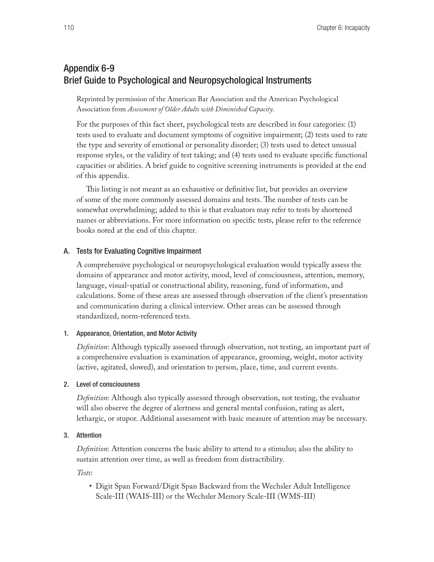# Appendix 6-9 Brief Guide to Psychological and Neuropsychological Instruments

Reprinted by permission of the American Bar Association and the American Psychological Association from *Assessment of Older Adults with Diminished Capacity*.

For the purposes of this fact sheet, psychological tests are described in four categories: (1) tests used to evaluate and document symptoms of cognitive impairment; (2) tests used to rate the type and severity of emotional or personality disorder; (3) tests used to detect unusual response styles, or the validity of test taking; and (4) tests used to evaluate specific functional capacities or abilities. A brief guide to cognitive screening instruments is provided at the end of this appendix.

This listing is not meant as an exhaustive or definitive list, but provides an overview of some of the more commonly assessed domains and tests. The number of tests can be somewhat overwhelming; added to this is that evaluators may refer to tests by shortened names or abbreviations. For more information on specific tests, please refer to the reference books noted at the end of this chapter.

### A. Tests for Evaluating Cognitive Impairment

A comprehensive psychological or neuropsychological evaluation would typically assess the domains of appearance and motor activity, mood, level of consciousness, attention, memory, language, visual-spatial or constructional ability, reasoning, fund of information, and calculations. Some of these areas are assessed through observation of the client's presentation and communication during a clinical interview. Other areas can be assessed through standardized, norm-referenced tests.

### 1. Appearance, Orientation, and Motor Activity

*Definition*: Although typically assessed through observation, not testing, an important part of a comprehensive evaluation is examination of appearance, grooming, weight, motor activity (active, agitated, slowed), and orientation to person, place, time, and current events.

### 2. Level of consciousness

*Definition*: Although also typically assessed through observation, not testing, the evaluator will also observe the degree of alertness and general mental confusion, rating as alert, lethargic, or stupor. Additional assessment with basic measure of attention may be necessary.

### 3. Attention

*Definition*: Attention concerns the basic ability to attend to a stimulus; also the ability to sustain attention over time, as well as freedom from distractibility.

*Tests*:

• Digit Span Forward/Digit Span Backward from the Wechsler Adult Intelligence Scale-III (WAIS-III) or the Wechsler Memory Scale-III (WMS-III)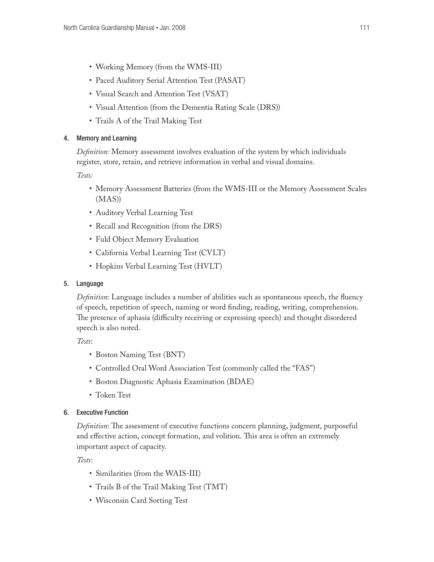- Working Memory (from the WMS-III)
- Paced Auditory Serial Attention Test (PASAT)
- • Visual Search and Attention Test (VSAT)
- • Visual Attention (from the Dementia Rating Scale (DRS))
- Trails A of the Trail Making Test

### 4. Memory and Learning

*Definition:* Memory assessment involves evaluation of the system by which individuals register, store, retain, and retrieve information in verbal and visual domains.

*Tests:*

- • Memory Assessment Batteries (from the WMS-III or the Memory Assessment Scales (MAS))
- • Auditory Verbal Learning Test
- • Recall and Recognition (from the DRS)
- Fuld Object Memory Evaluation
- California Verbal Learning Test (CVLT)
- Hopkins Verbal Learning Test (HVLT)
- 5. Language

*Definition*: Language includes a number of abilities such as spontaneous speech, the fluency of speech, repetition of speech, naming or word finding, reading, writing, comprehension. The presence of aphasia (difficulty receiving or expressing speech) and thought disordered speech is also noted.

*Tests*:

- Boston Naming Test (BNT)
- Controlled Oral Word Association Test (commonly called the "FAS")
- • Boston Diagnostic Aphasia Examination (BDAE)
- Token Test

# 6. Executive Function

*Definition*: The assessment of executive functions concern planning, judgment, purposeful and effective action, concept formation, and volition. This area is often an extremely important aspect of capacity.

*Tests*:

- • Similarities (from the WAIS-III)
- Trails B of the Trail Making Test (TMT)
- Wisconsin Card Sorting Test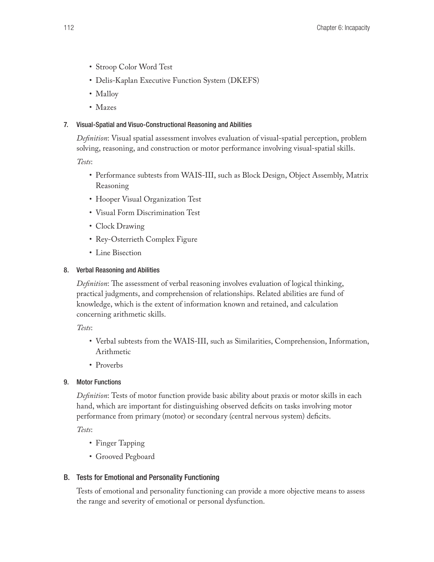- • Stroop Color Word Test
- Delis-Kaplan Executive Function System (DKEFS)
- Malloy
- Mazes

# 7. Visual-Spatial and Visuo-Constructional Reasoning and Abilities

*Definition*: Visual spatial assessment involves evaluation of visual-spatial perception, problem solving, reasoning, and construction or motor performance involving visual-spatial skills.

*Tests*:

- • Performance subtests from WAIS-III, such as Block Design, Object Assembly, Matrix Reasoning
- Hooper Visual Organization Test
- • Visual Form Discrimination Test
- Clock Drawing
- Rey-Osterrieth Complex Figure
- Line Bisection

# 8. Verbal Reasoning and Abilities

*Definition*: The assessment of verbal reasoning involves evaluation of logical thinking, practical judgments, and comprehension of relationships. Related abilities are fund of knowledge, which is the extent of information known and retained, and calculation concerning arithmetic skills.

*Tests*:

- • Verbal subtests from the WAIS-III, such as Similarities, Comprehension, Information, Arithmetic
- Proverbs

# 9. Motor Functions

*Definition*: Tests of motor function provide basic ability about praxis or motor skills in each hand, which are important for distinguishing observed deficits on tasks involving motor performance from primary (motor) or secondary (central nervous system) deficits.

*Tests*:

- Finger Tapping
- Grooved Pegboard

# B. Tests for Emotional and Personality Functioning

Tests of emotional and personality functioning can provide a more objective means to assess the range and severity of emotional or personal dysfunction.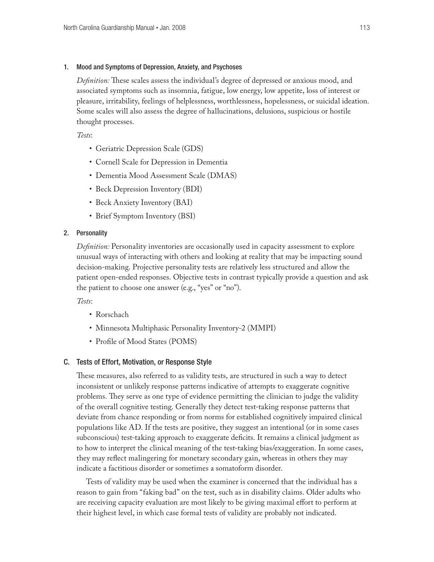### 1. Mood and Symptoms of Depression, Anxiety, and Psychoses

*Definition:* These scales assess the individual's degree of depressed or anxious mood, and associated symptoms such as insomnia, fatigue, low energy, low appetite, loss of interest or pleasure, irritability, feelings of helplessness, worthlessness, hopelessness, or suicidal ideation. Some scales will also assess the degree of hallucinations, delusions, suspicious or hostile thought processes.

*Tests*:

- Geriatric Depression Scale (GDS)
- Cornell Scale for Depression in Dementia
- • Dementia Mood Assessment Scale (DMAS)
- Beck Depression Inventory (BDI)
- Beck Anxiety Inventory (BAI)
- Brief Symptom Inventory (BSI)

### 2. Personality

*Definition:* Personality inventories are occasionally used in capacity assessment to explore unusual ways of interacting with others and looking at reality that may be impacting sound decision-making. Projective personality tests are relatively less structured and allow the patient open-ended responses. Objective tests in contrast typically provide a question and ask the patient to choose one answer (e.g., "yes" or "no").

### *Tests*:

- Rorschach
- Minnesota Multiphasic Personality Inventory-2 (MMPI)
- Profile of Mood States (POMS)

### C. Tests of Effort, Motivation, or Response Style

These measures, also referred to as validity tests, are structured in such a way to detect inconsistent or unlikely response patterns indicative of attempts to exaggerate cognitive problems. They serve as one type of evidence permitting the clinician to judge the validity of the overall cognitive testing. Generally they detect test-taking response patterns that deviate from chance responding or from norms for established cognitively impaired clinical populations like AD. If the tests are positive, they suggest an intentional (or in some cases subconscious) test-taking approach to exaggerate deficits. It remains a clinical judgment as to how to interpret the clinical meaning of the test-taking bias/exaggeration. In some cases, they may reflect malingering for monetary secondary gain, whereas in others they may indicate a factitious disorder or sometimes a somatoform disorder.

Tests of validity may be used when the examiner is concerned that the individual has a reason to gain from "faking bad" on the test, such as in disability claims. Older adults who are receiving capacity evaluation are most likely to be giving maximal effort to perform at their highest level, in which case formal tests of validity are probably not indicated.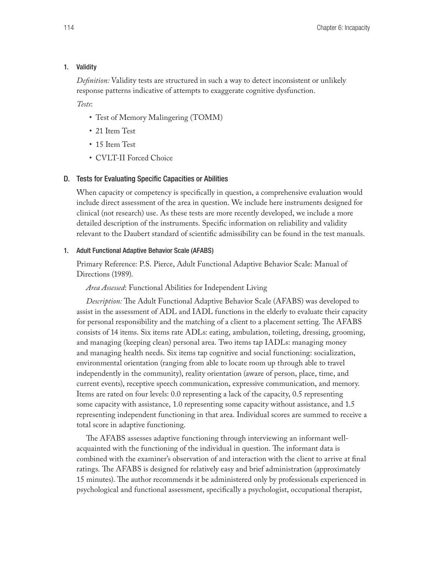### 1. Validity

*Definition:* Validity tests are structured in such a way to detect inconsistent or unlikely response patterns indicative of attempts to exaggerate cognitive dysfunction.

*Tests*:

- Test of Memory Malingering (TOMM)
- 21 Item Test
- 15 Item Test
- CVLT-II Forced Choice

### D. Tests for Evaluating Specific Capacities or Abilities

When capacity or competency is specifically in question, a comprehensive evaluation would include direct assessment of the area in question. We include here instruments designed for clinical (not research) use. As these tests are more recently developed, we include a more detailed description of the instruments. Specific information on reliability and validity relevant to the Daubert standard of scientific admissibility can be found in the test manuals.

### 1. Adult Functional Adaptive Behavior Scale (AFABS)

Primary Reference: P.S. Pierce, Adult Functional Adaptive Behavior Scale: Manual of Directions (1989).

*Area Assessed*: Functional Abilities for Independent Living

*Description:* The Adult Functional Adaptive Behavior Scale (AFABS) was developed to assist in the assessment of ADL and IADL functions in the elderly to evaluate their capacity for personal responsibility and the matching of a client to a placement setting. The AFABS consists of 14 items. Six items rate ADLs: eating, ambulation, toileting, dressing, grooming, and managing (keeping clean) personal area. Two items tap IADLs: managing money and managing health needs. Six items tap cognitive and social functioning: socialization, environmental orientation (ranging from able to locate room up through able to travel independently in the community), reality orientation (aware of person, place, time, and current events), receptive speech communication, expressive communication, and memory. Items are rated on four levels: 0.0 representing a lack of the capacity, 0.5 representing some capacity with assistance, 1.0 representing some capacity without assistance, and 1.5 representing independent functioning in that area. Individual scores are summed to receive a total score in adaptive functioning.

The AFABS assesses adaptive functioning through interviewing an informant wellacquainted with the functioning of the individual in question. The informant data is combined with the examiner's observation of and interaction with the client to arrive at final ratings. The AFABS is designed for relatively easy and brief administration (approximately 15 minutes). The author recommends it be administered only by professionals experienced in psychological and functional assessment, specifically a psychologist, occupational therapist,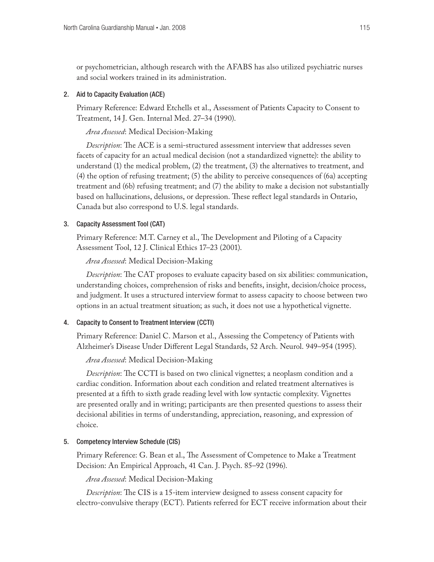or psychometrician, although research with the AFABS has also utilized psychiatric nurses and social workers trained in its administration.

### 2. Aid to Capacity Evaluation (ACE)

Primary Reference: Edward Etchells et al., Assessment of Patients Capacity to Consent to Treatment, 14 J. Gen. Internal Med. 27–34 (1990).

*Area Assessed*: Medical Decision-Making

*Description*: The ACE is a semi-structured assessment interview that addresses seven facets of capacity for an actual medical decision (not a standardized vignette): the ability to understand (1) the medical problem, (2) the treatment, (3) the alternatives to treatment, and (4) the option of refusing treatment; (5) the ability to perceive consequences of (6a) accepting treatment and (6b) refusing treatment; and (7) the ability to make a decision not substantially based on hallucinations, delusions, or depression. These reflect legal standards in Ontario, Canada but also correspond to U.S. legal standards.

### 3. Capacity Assessment Tool (CAT)

Primary Reference: M.T. Carney et al., The Development and Piloting of a Capacity Assessment Tool, 12 J. Clinical Ethics 17–23 (2001).

*Area Assessed*: Medical Decision-Making

*Description*: The CAT proposes to evaluate capacity based on six abilities: communication, understanding choices, comprehension of risks and benefits, insight, decision/choice process, and judgment. It uses a structured interview format to assess capacity to choose between two options in an actual treatment situation; as such, it does not use a hypothetical vignette.

### 4. Capacity to Consent to Treatment Interview (CCTI)

Primary Reference: Daniel C. Marson et al., Assessing the Competency of Patients with Alzheimer's Disease Under Different Legal Standards, 52 Arch. Neurol. 949–954 (1995).

*Area Assessed*: Medical Decision-Making

*Description*: The CCTI is based on two clinical vignettes; a neoplasm condition and a cardiac condition. Information about each condition and related treatment alternatives is presented at a fifth to sixth grade reading level with low syntactic complexity. Vignettes are presented orally and in writing; participants are then presented questions to assess their decisional abilities in terms of understanding, appreciation, reasoning, and expression of choice.

### 5. Competency Interview Schedule (CIS)

Primary Reference: G. Bean et al., The Assessment of Competence to Make a Treatment Decision: An Empirical Approach, 41 Can. J. Psych. 85–92 (1996).

*Area Assessed*: Medical Decision-Making

*Description*: The CIS is a 15-item interview designed to assess consent capacity for electro-convulsive therapy (ECT). Patients referred for ECT receive information about their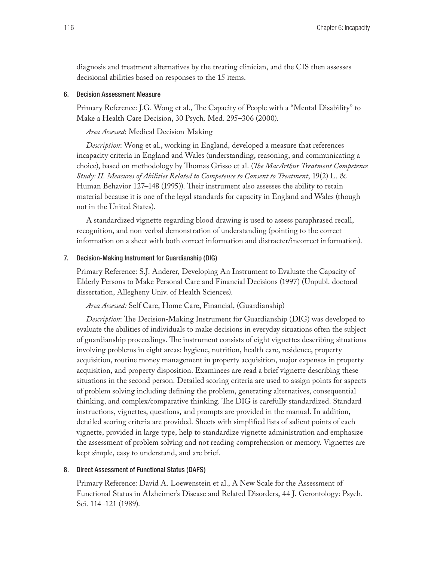diagnosis and treatment alternatives by the treating clinician, and the CIS then assesses decisional abilities based on responses to the 15 items.

### 6. Decision Assessment Measure

Primary Reference: J.G. Wong et al., The Capacity of People with a "Mental Disability" to Make a Health Care Decision, 30 Psych. Med. 295–306 (2000).

### *Area Assessed*: Medical Decision-Making

*Description*: Wong et al., working in England, developed a measure that references incapacity criteria in England and Wales (understanding, reasoning, and communicating a choice), based on methodology by Thomas Grisso et al. (*The MacArthur Treatment Competence Study: II. Measures of Abilities Related to Competence to Consent to Treatment*, 19(2) L. & Human Behavior 127–148 (1995)). Their instrument also assesses the ability to retain material because it is one of the legal standards for capacity in England and Wales (though not in the United States).

A standardized vignette regarding blood drawing is used to assess paraphrased recall, recognition, and non-verbal demonstration of understanding (pointing to the correct information on a sheet with both correct information and distracter/incorrect information).

#### 7. Decision-Making Instrument for Guardianship (DIG)

Primary Reference: S.J. Anderer, Developing An Instrument to Evaluate the Capacity of Elderly Persons to Make Personal Care and Financial Decisions (1997) (Unpubl. doctoral dissertation, Allegheny Univ. of Health Sciences).

### *Area Assessed:* Self Care, Home Care, Financial, (Guardianship)

*Description*: The Decision-Making Instrument for Guardianship (DIG) was developed to evaluate the abilities of individuals to make decisions in everyday situations often the subject of guardianship proceedings. The instrument consists of eight vignettes describing situations involving problems in eight areas: hygiene, nutrition, health care, residence, property acquisition, routine money management in property acquisition, major expenses in property acquisition, and property disposition. Examinees are read a brief vignette describing these situations in the second person. Detailed scoring criteria are used to assign points for aspects of problem solving including defining the problem, generating alternatives, consequential thinking, and complex/comparative thinking. The DIG is carefully standardized. Standard instructions, vignettes, questions, and prompts are provided in the manual. In addition, detailed scoring criteria are provided. Sheets with simplified lists of salient points of each vignette, provided in large type, help to standardize vignette administration and emphasize the assessment of problem solving and not reading comprehension or memory. Vignettes are kept simple, easy to understand, and are brief.

#### 8. Direct Assessment of Functional Status (DAFS)

Primary Reference: David A. Loewenstein et al., A New Scale for the Assessment of Functional Status in Alzheimer's Disease and Related Disorders, 44 J. Gerontology: Psych. Sci. 114–121 (1989).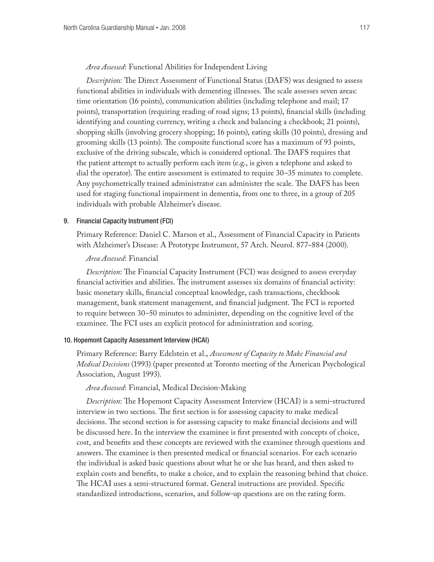*Area Assessed*: Functional Abilities for Independent Living

*Descriptio*n: The Direct Assessment of Functional Status (DAFS) was designed to assess functional abilities in individuals with dementing illnesses. The scale assesses seven areas: time orientation (16 points), communication abilities (including telephone and mail; 17 points), transportation (requiring reading of road signs; 13 points), financial skills (including identifying and counting currency, writing a check and balancing a checkbook; 21 points), shopping skills (involving grocery shopping; 16 points), eating skills (10 points), dressing and grooming skills (13 points). The composite functional score has a maximum of 93 points, exclusive of the driving subscale, which is considered optional. The DAFS requires that the patient attempt to actually perform each item (e.g., is given a telephone and asked to dial the operator). The entire assessment is estimated to require 30–35 minutes to complete. Any psychometrically trained administrator can administer the scale. The DAFS has been used for staging functional impairment in dementia, from one to three, in a group of 205 individuals with probable Alzheimer's disease.

#### 9. Financial Capacity Instrument (FCI)

Primary Reference: Daniel C. Marson et al., Assessment of Financial Capacity in Patients with Alzheimer's Disease: A Prototype Instrument, 57 Arch. Neurol. 877–884 (2000).

### *Area Assessed*: Financial

*Description*: The Financial Capacity Instrument (FCI) was designed to assess everyday financial activities and abilities. The instrument assesses six domains of financial activity: basic monetary skills, financial conceptual knowledge, cash transactions, checkbook management, bank statement management, and financial judgment. The FCI is reported to require between 30–50 minutes to administer, depending on the cognitive level of the examinee. The FCI uses an explicit protocol for administration and scoring.

#### 10. Hopemont Capacity Assessment Interview (HCAI)

Primary Reference: Barry Edelstein et al., *Assessment of Capacity to Make Financial and Medical Decisions* (1993) (paper presented at Toronto meeting of the American Psychological Association, August 1993).

### *Area Assessed*: Financial, Medical Decision-Making

*Description*: The Hopemont Capacity Assessment Interview (HCAI) is a semi-structured interview in two sections. The first section is for assessing capacity to make medical decisions. The second section is for assessing capacity to make financial decisions and will be discussed here. In the interview the examinee is first presented with concepts of choice, cost, and benefits and these concepts are reviewed with the examinee through questions and answers. The examinee is then presented medical or financial scenarios. For each scenario the individual is asked basic questions about what he or she has heard, and then asked to explain costs and benefits, to make a choice, and to explain the reasoning behind that choice. The HCAI uses a semi-structured format. General instructions are provided. Specific standardized introductions, scenarios, and follow-up questions are on the rating form.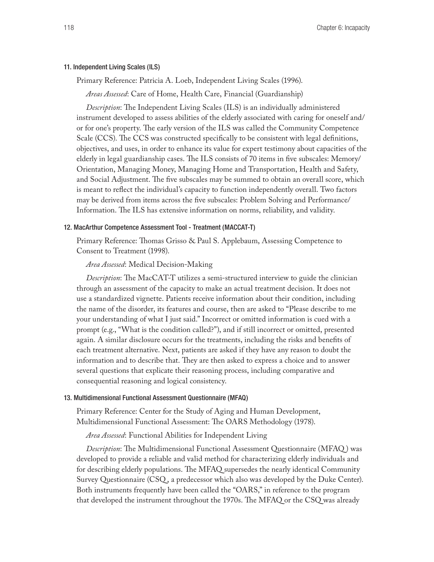#### 11. Independent Living Scales (ILS)

Primary Reference: Patricia A. Loeb, Independent Living Scales (1996).

*Areas Assessed*: Care of Home, Health Care, Financial (Guardianship)

*Description*: The Independent Living Scales (ILS) is an individually administered instrument developed to assess abilities of the elderly associated with caring for oneself and/ or for one's property. The early version of the ILS was called the Community Competence Scale (CCS). The CCS was constructed specifically to be consistent with legal definitions, objectives, and uses, in order to enhance its value for expert testimony about capacities of the elderly in legal guardianship cases. The ILS consists of 70 items in five subscales: Memory/ Orientation, Managing Money, Managing Home and Transportation, Health and Safety, and Social Adjustment. The five subscales may be summed to obtain an overall score, which is meant to reflect the individual's capacity to function independently overall. Two factors may be derived from items across the five subscales: Problem Solving and Performance/ Information. The ILS has extensive information on norms, reliability, and validity.

#### 12. MacArthur Competence Assessment Tool - Treatment (MACCAT-T)

Primary Reference: Thomas Grisso & Paul S. Applebaum, Assessing Competence to Consent to Treatment (1998).

### *Area Assessed*: Medical Decision-Making

*Description*: The MacCAT-T utilizes a semi-structured interview to guide the clinician through an assessment of the capacity to make an actual treatment decision. It does not use a standardized vignette. Patients receive information about their condition, including the name of the disorder, its features and course, then are asked to "Please describe to me your understanding of what I just said." Incorrect or omitted information is cued with a prompt (e.g., "What is the condition called?"), and if still incorrect or omitted, presented again. A similar disclosure occurs for the treatments, including the risks and benefits of each treatment alternative. Next, patients are asked if they have any reason to doubt the information and to describe that. They are then asked to express a choice and to answer several questions that explicate their reasoning process, including comparative and consequential reasoning and logical consistency.

### 13. Multidimensional Functional Assessment Questionnaire (MFAQ)

Primary Reference: Center for the Study of Aging and Human Development, Multidimensional Functional Assessment: The OARS Methodology (1978).

*Area Assessed*: Functional Abilities for Independent Living

*Description*: The Multidimensional Functional Assessment Questionnaire (MFAQ ) was developed to provide a reliable and valid method for characterizing elderly individuals and for describing elderly populations. The MFAQ supersedes the nearly identical Community Survey Questionnaire (CSQ , a predecessor which also was developed by the Duke Center). Both instruments frequently have been called the "OARS," in reference to the program that developed the instrument throughout the 1970s. The MFAQ or the CSQ was already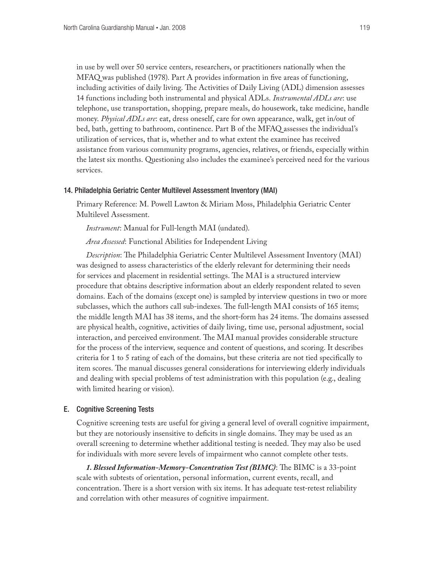in use by well over 50 service centers, researchers, or practitioners nationally when the MFAQ was published (1978). Part A provides information in five areas of functioning, including activities of daily living. The Activities of Daily Living (ADL) dimension assesses 14 functions including both instrumental and physical ADLs. *Instrumental ADLs are*: use telephone, use transportation, shopping, prepare meals, do housework, take medicine, handle money. *Physical ADLs are*: eat, dress oneself, care for own appearance, walk, get in/out of bed, bath, getting to bathroom, continence. Part B of the MFAQ assesses the individual's utilization of services, that is, whether and to what extent the examinee has received assistance from various community programs, agencies, relatives, or friends, especially within the latest six months. Questioning also includes the examinee's perceived need for the various services.

### 14. Philadelphia Geriatric Center Multilevel Assessment Inventory (MAI)

Primary Reference: M. Powell Lawton & Miriam Moss, Philadelphia Geriatric Center Multilevel Assessment.

*Instrument*: Manual for Full-length MAI (undated).

*Area Assessed*: Functional Abilities for Independent Living

*Description*: The Philadelphia Geriatric Center Multilevel Assessment Inventory (MAI) was designed to assess characteristics of the elderly relevant for determining their needs for services and placement in residential settings. The MAI is a structured interview procedure that obtains descriptive information about an elderly respondent related to seven domains. Each of the domains (except one) is sampled by interview questions in two or more subclasses, which the authors call sub-indexes. The full-length MAI consists of 165 items; the middle length MAI has 38 items, and the short-form has 24 items. The domains assessed are physical health, cognitive, activities of daily living, time use, personal adjustment, social interaction, and perceived environment. The MAI manual provides considerable structure for the process of the interview, sequence and content of questions, and scoring. It describes criteria for 1 to 5 rating of each of the domains, but these criteria are not tied specifically to item scores. The manual discusses general considerations for interviewing elderly individuals and dealing with special problems of test administration with this population (e.g., dealing with limited hearing or vision).

### E. Cognitive Screening Tests

Cognitive screening tests are useful for giving a general level of overall cognitive impairment, but they are notoriously insensitive to deficits in single domains. They may be used as an overall screening to determine whether additional testing is needed. They may also be used for individuals with more severe levels of impairment who cannot complete other tests.

*1. Blessed Information-Memory-Concentration Test (BIMC)*: The BIMC is a 33-point scale with subtests of orientation, personal information, current events, recall, and concentration. There is a short version with six items. It has adequate test-retest reliability and correlation with other measures of cognitive impairment.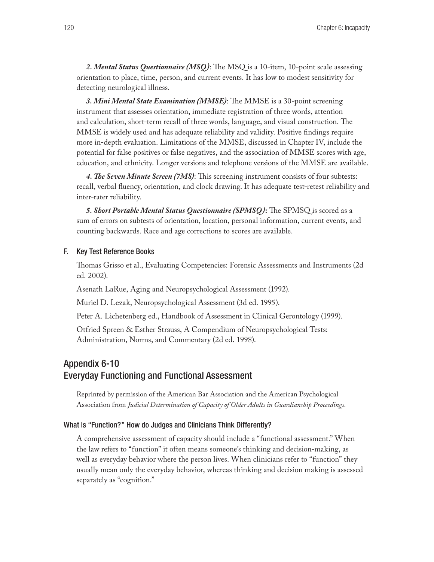*2. Mental Status Questionnaire (MSQ )*: The MSQ is a 10-item, 10-point scale assessing orientation to place, time, person, and current events. It has low to modest sensitivity for detecting neurological illness.

*3. Mini Mental State Examination (MMSE)*: The MMSE is a 30-point screening instrument that assesses orientation, immediate registration of three words, attention and calculation, short-term recall of three words, language, and visual construction. The MMSE is widely used and has adequate reliability and validity. Positive findings require more in-depth evaluation. Limitations of the MMSE, discussed in Chapter IV, include the potential for false positives or false negatives, and the association of MMSE scores with age, education, and ethnicity. Longer versions and telephone versions of the MMSE are available.

*4. The Seven Minute Screen (7MS)*: This screening instrument consists of four subtests: recall, verbal fluency, orientation, and clock drawing. It has adequate test-retest reliability and inter-rater reliability.

*5. Short Portable Mental Status Questionnaire (SPMSQ )***:** The SPMSQ is scored as a sum of errors on subtests of orientation, location, personal information, current events, and counting backwards. Race and age corrections to scores are available.

### F. Key Test Reference Books

Thomas Grisso et al., Evaluating Competencies: Forensic Assessments and Instruments (2d ed. 2002).

Asenath LaRue, Aging and Neuropsychological Assessment (1992).

Muriel D. Lezak, Neuropsychological Assessment (3d ed. 1995).

Peter A. Lichetenberg ed., Handbook of Assessment in Clinical Gerontology (1999).

Otfried Spreen & Esther Strauss, A Compendium of Neuropsychological Tests: Administration, Norms, and Commentary (2d ed. 1998).

# Appendix 6-10 Everyday Functioning and Functional Assessment

Reprinted by permission of the American Bar Association and the American Psychological Association from *Judicial Determination of Capacity of Older Adults in Guardianship Proceedings*.

#### What Is "Function?" How do Judges and Clinicians Think Differently?

A comprehensive assessment of capacity should include a "functional assessment." When the law refers to "function" it often means someone's thinking and decision-making, as well as everyday behavior where the person lives. When clinicians refer to "function" they usually mean only the everyday behavior, whereas thinking and decision making is assessed separately as "cognition."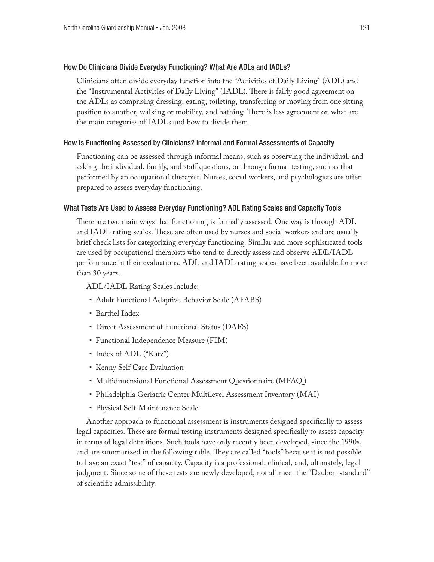### How Do Clinicians Divide Everyday Functioning? What Are ADLs and IADLs?

Clinicians often divide everyday function into the "Activities of Daily Living" (ADL) and the "Instrumental Activities of Daily Living" (IADL). There is fairly good agreement on the ADLs as comprising dressing, eating, toileting, transferring or moving from one sitting position to another, walking or mobility, and bathing. There is less agreement on what are the main categories of IADLs and how to divide them.

### How Is Functioning Assessed by Clinicians? Informal and Formal Assessments of Capacity

Functioning can be assessed through informal means, such as observing the individual, and asking the individual, family, and staff questions, or through formal testing, such as that performed by an occupational therapist. Nurses, social workers, and psychologists are often prepared to assess everyday functioning.

### What Tests Are Used to Assess Everyday Functioning? ADL Rating Scales and Capacity Tools

There are two main ways that functioning is formally assessed. One way is through ADL and IADL rating scales. These are often used by nurses and social workers and are usually brief check lists for categorizing everyday functioning. Similar and more sophisticated tools are used by occupational therapists who tend to directly assess and observe ADL/IADL performance in their evaluations. ADL and IADL rating scales have been available for more than 30 years.

ADL/IADL Rating Scales include:

- • Adult Functional Adaptive Behavior Scale (AFABS)
- Barthel Index
- Direct Assessment of Functional Status (DAFS)
- • Functional Independence Measure (FIM)
- Index of ADL ("Katz")
- Kenny Self Care Evaluation
- Multidimensional Functional Assessment Questionnaire (MFAQ)
- Philadelphia Geriatric Center Multilevel Assessment Inventory (MAI)
- Physical Self-Maintenance Scale

Another approach to functional assessment is instruments designed specifically to assess legal capacities. These are formal testing instruments designed specifically to assess capacity in terms of legal definitions. Such tools have only recently been developed, since the 1990s, and are summarized in the following table. They are called "tools" because it is not possible to have an exact "test" of capacity. Capacity is a professional, clinical, and, ultimately, legal judgment. Since some of these tests are newly developed, not all meet the "Daubert standard" of scientific admissibility.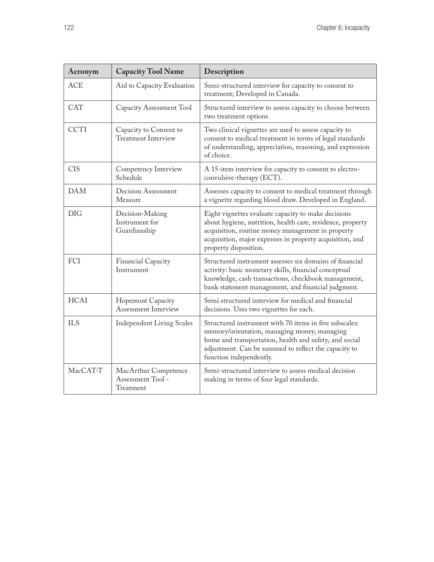| Acronym     | <b>Capacity Tool Name</b>                              | Description                                                                                                                                                                                                                                                 |
|-------------|--------------------------------------------------------|-------------------------------------------------------------------------------------------------------------------------------------------------------------------------------------------------------------------------------------------------------------|
| <b>ACE</b>  | Aid to Capacity Evaluation                             | Semi-structured interview for capacity to consent to<br>treatment; Developed in Canada.                                                                                                                                                                     |
| <b>CAT</b>  | Capacity Assessment Tool                               | Structured interview to assess capacity to choose between<br>two treatment options.                                                                                                                                                                         |
| <b>CCTI</b> | Capacity to Consent to<br><b>Treatment Interview</b>   | Two clinical vignettes are used to assess capacity to<br>consent to medical treatment in terms of legal standards<br>of understanding, appreciation, reasoning, and expression<br>of choice.                                                                |
| <b>CIS</b>  | Competency Interview<br>Schedule                       | A 15-item interview for capacity to consent to electro-<br>convulsive-therapy (ECT).                                                                                                                                                                        |
| <b>DAM</b>  | Decision Assessment<br>Measure                         | Assesses capacity to consent to medical treatment through<br>a vignette regarding blood draw. Developed in England.                                                                                                                                         |
| <b>DIG</b>  | Decision-Making<br>Instrument for<br>Guardianship      | Eight vignettes evaluate capacity to make decisions<br>about hygiene, nutrition, health care, residence, property<br>acquisition, routine money management in property<br>acquisition, major expenses in property acquisition, and<br>property disposition. |
| FCI         | Financial Capacity<br>Instrument                       | Structured instrument assesses six domains of financial<br>activity: basic monetary skills, financial conceptual<br>knowledge, cash transactions, checkbook management,<br>bank statement management, and financial judgment.                               |
| <b>HCAI</b> | Hopemont Capacity<br><b>Assessment Interview</b>       | Semi structured interview for medical and financial<br>decisions. Uses two vignettes for each.                                                                                                                                                              |
| <b>ILS</b>  | <b>Independent Living Scales</b>                       | Structured instrument with 70 items in five subscales:<br>memory/orientation, managing money, managing<br>home and transportation, health and safety, and social<br>adjustment. Can be summed to reflect the capacity to<br>function independently.         |
| MacCAT-T    | MacArthur Competence<br>Assessment Tool -<br>Treatment | Semi-structured interview to assess medical decision<br>making in terms of four legal standards.                                                                                                                                                            |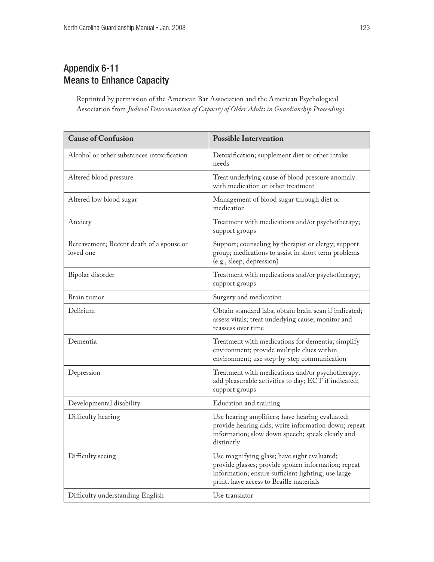# Appendix 6-11 Means to Enhance Capacity

Reprinted by permission of the American Bar Association and the American Psychological Association from *Judicial Determination of Capacity of Older Adults in Guardianship Proceedings*.

| <b>Cause of Confusion</b>                             | <b>Possible Intervention</b>                                                                                                                                                                        |
|-------------------------------------------------------|-----------------------------------------------------------------------------------------------------------------------------------------------------------------------------------------------------|
| Alcohol or other substances intoxification            | Detoxification; supplement diet or other intake<br>needs                                                                                                                                            |
| Altered blood pressure                                | Treat underlying cause of blood pressure anomaly<br>with medication or other treatment                                                                                                              |
| Altered low blood sugar                               | Management of blood sugar through diet or<br>medication                                                                                                                                             |
| Anxiety                                               | Treatment with medications and/or psychotherapy;<br>support groups                                                                                                                                  |
| Bereavement; Recent death of a spouse or<br>loved one | Support; counseling by therapist or clergy; support<br>group; medications to assist in short term problems<br>(e.g., sleep, depression)                                                             |
| Bipolar disorder                                      | Treatment with medications and/or psychotherapy;<br>support groups                                                                                                                                  |
| Brain tumor                                           | Surgery and medication                                                                                                                                                                              |
| Delirium                                              | Obtain standard labs; obtain brain scan if indicated;<br>assess vitals; treat underlying cause; monitor and<br>reassess over time                                                                   |
| Dementia                                              | Treatment with medications for dementia; simplify<br>environment; provide multiple clues within<br>environment; use step-by-step communication                                                      |
| Depression                                            | Treatment with medications and/or psychotherapy;<br>add pleasurable activities to day; ECT if indicated;<br>support groups                                                                          |
| Developmental disability                              | Education and training                                                                                                                                                                              |
| Difficulty hearing                                    | Use hearing amplifiers; have hearing evaluated;<br>provide hearing aids; write information down; repeat<br>information; slow down speech; speak clearly and<br>distinctly                           |
| Difficulty seeing                                     | Use magnifying glass; have sight evaluated;<br>provide glasses; provide spoken information; repeat<br>information; ensure sufficient lighting; use large<br>print; have access to Braille materials |
| Difficulty understanding English                      | Use translator                                                                                                                                                                                      |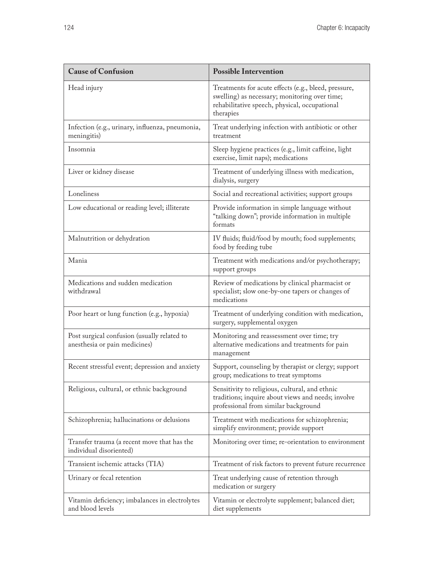| <b>Cause of Confusion</b>                                                    | <b>Possible Intervention</b>                                                                                                                                        |
|------------------------------------------------------------------------------|---------------------------------------------------------------------------------------------------------------------------------------------------------------------|
| Head injury                                                                  | Treatments for acute effects (e.g., bleed, pressure,<br>swelling) as necessary; monitoring over time;<br>rehabilitative speech, physical, occupational<br>therapies |
| Infection (e.g., urinary, influenza, pneumonia,<br>meningitis)               | Treat underlying infection with antibiotic or other<br>treatment                                                                                                    |
| Insomnia                                                                     | Sleep hygiene practices (e.g., limit caffeine, light<br>exercise, limit naps); medications                                                                          |
| Liver or kidney disease                                                      | Treatment of underlying illness with medication,<br>dialysis, surgery                                                                                               |
| Loneliness                                                                   | Social and recreational activities; support groups                                                                                                                  |
| Low educational or reading level; illiterate                                 | Provide information in simple language without<br>"talking down"; provide information in multiple<br>formats                                                        |
| Malnutrition or dehydration                                                  | IV fluids; fluid/food by mouth; food supplements;<br>food by feeding tube                                                                                           |
| Mania                                                                        | Treatment with medications and/or psychotherapy;<br>support groups                                                                                                  |
| Medications and sudden medication<br>withdrawal                              | Review of medications by clinical pharmacist or<br>specialist; slow one-by-one tapers or changes of<br>medications                                                  |
| Poor heart or lung function (e.g., hypoxia)                                  | Treatment of underlying condition with medication,<br>surgery, supplemental oxygen                                                                                  |
| Post surgical confusion (usually related to<br>anesthesia or pain medicines) | Monitoring and reassessment over time; try<br>alternative medications and treatments for pain<br>management                                                         |
| Recent stressful event; depression and anxiety                               | Support, counseling by therapist or clergy; support<br>group; medications to treat symptoms                                                                         |
| Religious, cultural, or ethnic background                                    | Sensitivity to religious, cultural, and ethnic<br>traditions; inquire about views and needs; involve<br>professional from similar background                        |
| Schizophrenia; hallucinations or delusions                                   | Treatment with medications for schizophrenia;<br>simplify environment; provide support                                                                              |
| Transfer trauma (a recent move that has the<br>individual disoriented)       | Monitoring over time; re-orientation to environment                                                                                                                 |
| Transient ischemic attacks (TIA)                                             | Treatment of risk factors to prevent future recurrence                                                                                                              |
| Urinary or fecal retention                                                   | Treat underlying cause of retention through<br>medication or surgery                                                                                                |
| Vitamin deficiency; imbalances in electrolytes<br>and blood levels           | Vitamin or electrolyte supplement; balanced diet;<br>diet supplements                                                                                               |